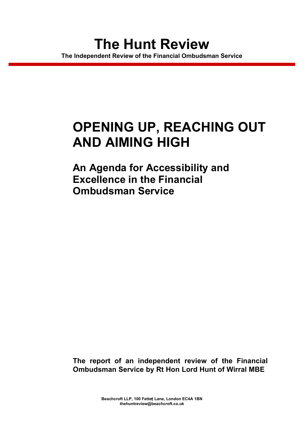# **OPENING UP, REACHING OUT AND AIMING HIGH**

**An Agenda for Accessibility and Excellence in the Financial Ombudsman Service**

**The report of an independent review of the Financial Ombudsman Service by Rt Hon Lord Hunt of Wirral MBE**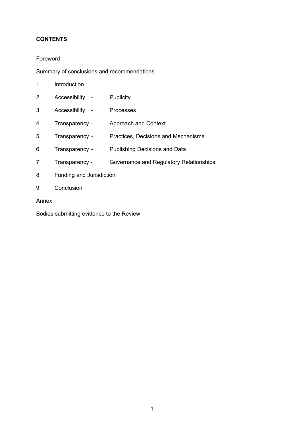# **CONTENTS**

# Foreword

Summary of conclusions and recommendations.

| ◢<br>п. | Introduction |
|---------|--------------|
|         |              |

- 2. Accessibility Publicity
- 3. Accessibility Processes
- 4. Transparency Approach and Context
- 5. Transparency Practices, Decisions and Mechanisms
- 6. Transparency Publishing Decisions and Data
- 7. Transparency Governance and Regulatory Relationships
- 8. Funding and Jurisdiction
- 9. Conclusion

Annex

Bodies submitting evidence to the Review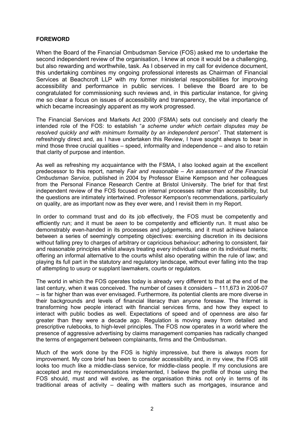## **FOREWORD**

When the Board of the Financial Ombudsman Service (FOS) asked me to undertake the second independent review of the organisation, I knew at once it would be a challenging, but also rewarding and worthwhile, task. As I observed in my call for evidence document, this undertaking combines my ongoing professional interests as Chairman of Financial Services at Beachcroft LLP with my former ministerial responsibilities for improving accessibility and performance in public services. I believe the Board are to be congratulated for commissioning such reviews and, in this particular instance, for giving me so clear a focus on issues of accessibility and transparency, the vital importance of which became increasingly apparent as my work progressed.

The Financial Services and Markets Act 2000 (FSMA) sets out concisely and clearly the intended role of the FOS: to establish "*a scheme under which certain disputes may be resolved quickly and with minimum formality by an independent person*". That statement is refreshingly direct and, as I have undertaken this Review, I have sought always to bear in mind those three crucial qualities – speed, informality and independence – and also to retain that clarity of purpose and intention.

As well as refreshing my acquaintance with the FSMA, I also looked again at the excellent predecessor to this report, namely *Fair and reasonable – An assessment of the Financial Ombudsman Service,* published in 2004 by Professor Elaine Kempson and her colleagues from the Personal Finance Research Centre at Bristol University. The brief for that first independent review of the FOS focused on internal processes rather than accessibility, but the questions are intimately intertwined. Professor Kempson's recommendations, particularly on quality, are as important now as they ever were, and I revisit them in my Report.

In order to command trust and do its job effectively, the FOS must be competently and efficiently run; and it must be *seen* to be competently and efficiently run. It must also be demonstrably even-handed in its processes and judgements, and it must achieve balance between a series of seemingly competing objectives: exercising discretion in its decisions without falling prey to charges of arbitrary or capricious behaviour; adhering to consistent, fair and reasonable principles whilst always treating every individual case on its individual merits; offering an informal alternative to the courts whilst also operating within the rule of law; and playing its full part in the statutory and regulatory landscape, without ever falling into the trap of attempting to usurp or supplant lawmakers, courts or regulators.

The world in which the FOS operates today is already very different to that at the end of the last century, when it was conceived. The number of cases it considers – 111,673 in 2006-07 – is far higher than was ever envisaged. Furthermore, its potential clients are more diverse in their backgrounds and levels of financial literacy than anyone foresaw. The Internet is transforming how people interact with financial services firms, and how they expect to interact with public bodies as well. Expectations of speed and of openness are also far greater than they were a decade ago. Regulation is moving away from detailed and prescriptive rulebooks, to high-level principles. The FOS now operates in a world where the presence of aggressive advertising by claims management companies has radically changed the terms of engagement between complainants, firms and the Ombudsman.

Much of the work done by the FOS is highly impressive, but there is always room for improvement. My core brief has been to consider accessibility and, in my view, the FOS still looks too much like a middle-class service, for middle-class people. If my conclusions are accepted and my recommendations implemented, I believe the profile of those using the FOS should, must and will evolve, as the organisation thinks not only in terms of its traditional areas of activity – dealing with matters such as mortgages, insurance and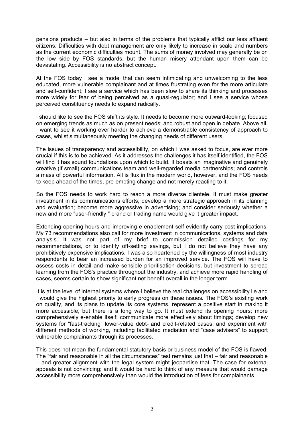pensions products – but also in terms of the problems that typically afflict our less affluent citizens. Difficulties with debt management are only likely to increase in scale and numbers as the current economic difficulties mount. The sums of money involved may generally be on the low side by FOS standards, but the human misery attendant upon them can be devastating. Accessibility is no abstract concept.

At the FOS today I see a model that can seem intimidating and unwelcoming to the less educated, more vulnerable complainant and at times frustrating even for the more articulate and self-confident; I see a service which has been slow to share its thinking and processes more widely for fear of being perceived as a quasi-regulator; and I see a service whose perceived constituency needs to expand radically.

I should like to see the FOS shift its style. It needs to become more outward-looking; focused on emerging trends as much as on present needs; and robust and open in debate. Above all, I want to see it working ever harder to achieve a demonstrable consistency of approach to cases, whilst simultaneously meeting the changing needs of different users.

The issues of transparency and accessibility, on which I was asked to focus, are ever more crucial if this is to be achieved. As it addresses the challenges it has itself identified, the FOS will find it has sound foundations upon which to build. It boasts an imaginative and genuinely creative (if small) communications team and well-regarded media partnerships; and controls a mass of powerful information. All is flux in the modern world, however, and the FOS needs to keep ahead of the times, pre-empting change and not merely reacting to it.

So the FOS needs to work hard to reach a more diverse clientele. It must make greater investment in its communications efforts; develop a more strategic approach in its planning and evaluation; become more aggressive in advertising; and consider seriously whether a new and more "user-friendly " brand or trading name would give it greater impact.

Extending opening hours and improving e-enablement self-evidently carry cost implications. My 73 recommendations also call for more investment in communications, systems and data analysis. It was not part of my brief to commission detailed costings for my recommendations, or to identify off-setting savings, but I do not believe they have any prohibitively expensive implications. I was also heartened by the willingness of most industry respondents to bear an increased burden for an improved service. The FOS will have to assess costs in detail and make sensible prioritisation decisions, but investment to spread learning from the FOS's practice throughout the industry, and achieve more rapid handling of cases, seems certain to show significant net benefit overall in the longer term.

It is at the level of internal systems where I believe the real challenges on accessibility lie and I would give the highest priority to early progress on these issues. The FOS's existing work on quality, and its plans to update its core systems, represent a positive start in making it more accessible, but there is a long way to go. It must extend its opening hours; more comprehensively e-enable itself; communicate more effectively about timings; develop new systems for "fast-tracking" lower-value debt- and credit-related cases; and experiment with different methods of working, including facilitated mediation and "case advisers" to support vulnerable complainants through its processes.

This does not mean the fundamental statutory basis or business model of the FOS is flawed. The "fair and reasonable in all the circumstances" test remains just that – fair and reasonable – and greater alignment with the legal system might jeopardise that. The case for external appeals is not convincing; and it would be hard to think of any measure that would damage accessibility more comprehensively than would the introduction of fees for complainants.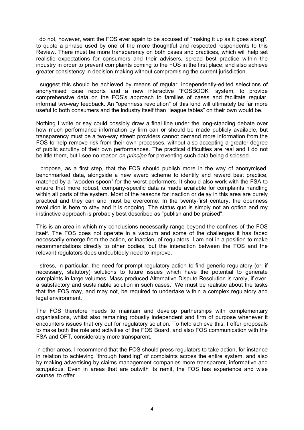I do not, however, want the FOS ever again to be accused of "making it up as it goes along", to quote a phrase used by one of the more thoughtful and respected respondents to this Review. There must be more transparency on both cases and practices, which will help set realistic expectations for consumers and their advisers, spread best practice within the industry in order to prevent complaints coming to the FOS in the first place, and also achieve greater consistency in decision-making without compromising the current jurisdiction.

I suggest this should be achieved by means of regular, independently-edited selections of anonymised case reports and a new interactive "FOSBOOK" system, to provide comprehensive data on the FOS's approach to families of cases and facilitate regular, informal two-way feedback. An "openness revolution" of this kind will ultimately be far more useful to both consumers and the industry itself than "league tables" on their own would be.

Nothing I write or say could possibly draw a final line under the long-standing debate over how much performance information by firm can or should be made publicly available, but transparency must be a two-way street: providers cannot demand more information from the FOS to help remove risk from their own processes, without also accepting a greater degree of public scrutiny of their own performances. The practical difficulties are real and I do not belittle them, but I see no reason *en principe* for preventing such data being disclosed.

I propose, as a first step, that the FOS should publish more in the way of anonymised, benchmarked data, alongside a new award scheme to identify and reward best practice, matched by a "wooden spoon" for the worst performers. It should also work with the FSA to ensure that more robust, company-specific data is made available for complaints handling within all parts of the system. Most of the reasons for inaction or delay in this area are purely practical and they can and must be overcome. In the twenty-first century, the openness revolution is here to stay and it is ongoing. The status quo is simply not an option and my instinctive approach is probably best described as "publish and be praised".

This is an area in which my conclusions necessarily range beyond the confines of the FOS itself. The FOS does not operate in a vacuum and some of the challenges it has faced necessarily emerge from the action, or inaction, of regulators. I am not in a position to make recommendations directly to other bodies, but the interaction between the FOS and the relevant regulators does undoubtedly need to improve.

I stress, in particular, the need for prompt regulatory action to find generic regulatory (or, if necessary, statutory) solutions to future issues which have the potential to generate complaints in large volumes. Mass-produced Alternative Dispute Resolution is rarely, if ever, a satisfactory and sustainable solution in such cases. We must be realistic about the tasks that the FOS may, and may not, be required to undertake within a complex regulatory and legal environment.

The FOS therefore needs to maintain and develop partnerships with complementary organisations, whilst also remaining robustly independent and firm of purpose whenever it encounters issues that cry out for regulatory solution. To help achieve this, I offer proposals to make both the role and activities of the FOS Board, and also FOS communication with the FSA and OFT, considerably more transparent.

In other areas, I recommend that the FOS should press regulators to take action, for instance in relation to achieving "through handling" of complaints across the entire system, and also by making advertising by claims management companies more transparent, informative and scrupulous. Even in areas that are outwith its remit, the FOS has experience and wise counsel to offer.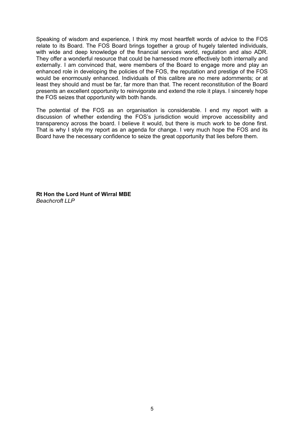Speaking of wisdom and experience, I think my most heartfelt words of advice to the FOS relate to its Board. The FOS Board brings together a group of hugely talented individuals, with wide and deep knowledge of the financial services world, regulation and also ADR. They offer a wonderful resource that could be harnessed more effectively both internally and externally. I am convinced that, were members of the Board to engage more and play an enhanced role in developing the policies of the FOS, the reputation and prestige of the FOS would be enormously enhanced. Individuals of this calibre are no mere adornments; or at least they should and must be far, far more than that. The recent reconstitution of the Board presents an excellent opportunity to reinvigorate and extend the role it plays. I sincerely hope the FOS seizes that opportunity with both hands.

The potential of the FOS as an organisation is considerable. I end my report with a discussion of whether extending the FOS's jurisdiction would improve accessibility and transparency across the board. I believe it would, but there is much work to be done first. That is why I style my report as an agenda for change. I very much hope the FOS and its Board have the necessary confidence to seize the great opportunity that lies before them.

**Rt Hon the Lord Hunt of Wirral MBE** *Beachcroft LLP*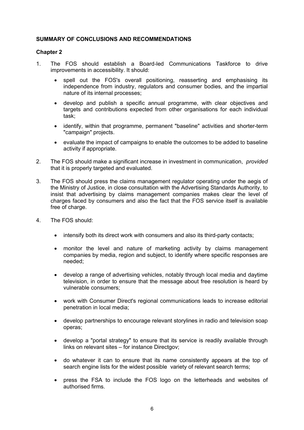# **SUMMARY OF CONCLUSIONS AND RECOMMENDATIONS**

# **Chapter 2**

- 1. The FOS should establish a Board-led Communications Taskforce to drive improvements in accessibility. It should:
	- spell out the FOS's overall positioning, reasserting and emphasising its independence from industry, regulators and consumer bodies, and the impartial nature of its internal processes;
	- develop and publish a specific annual programme, with clear objectives and targets and contributions expected from other organisations for each individual task;
	- · identify, within that programme, permanent "baseline" activities and shorter-term "campaign" projects.
	- · evaluate the impact of campaigns to enable the outcomes to be added to baseline activity if appropriate.
- 2. The FOS should make a significant increase in investment in communication, *provided*  that it is properly targeted and evaluated.
- 3. The FOS should press the claims management regulator operating under the aegis of the Ministry of Justice, in close consultation with the Advertising Standards Authority, to insist that advertising by claims management companies makes clear the level of charges faced by consumers and also the fact that the FOS service itself is available free of charge.
- 4. The FOS should:
	- · intensify both its direct work with consumers and also its third-party contacts;
	- · monitor the level and nature of marketing activity by claims management companies by media, region and subject, to identify where specific responses are needed;
	- · develop a range of advertising vehicles, notably through local media and daytime television, in order to ensure that the message about free resolution is heard by vulnerable consumers;
	- · work with Consumer Direct's regional communications leads to increase editorial penetration in local media;
	- · develop partnerships to encourage relevant storylines in radio and television soap operas;
	- · develop a "portal strategy" to ensure that its service is readily available through links on relevant sites – for instance Directgov;
	- · do whatever it can to ensure that its name consistently appears at the top of search engine lists for the widest possible variety of relevant search terms;
	- · press the FSA to include the FOS logo on the letterheads and websites of authorised firms.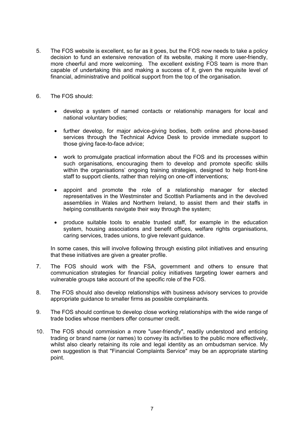- 5. The FOS website is excellent, so far as it goes, but the FOS now needs to take a policy decision to fund an extensive renovation of its website, making it more user-friendly, more cheerful and more welcoming. The excellent existing FOS team is more than capable of undertaking this and making a success of it, given the requisite level of financial, administrative and political support from the top of the organisation.
- 6. The FOS should:
	- · develop a system of named contacts or relationship managers for local and national voluntary bodies;
	- · further develop, for major advice-giving bodies, both online and phone-based services through the Technical Advice Desk to provide immediate support to those giving face-to-face advice;
	- · work to promulgate practical information about the FOS and its processes within such organisations, encouraging them to develop and promote specific skills within the organisations' ongoing training strategies, designed to help front-line staff to support clients, rather than relying on one-off interventions;
	- · appoint and promote the role of a relationship manager for elected representatives in the Westminster and Scottish Parliaments and in the devolved assemblies in Wales and Northern Ireland, to assist them and their staffs in helping constituents navigate their way through the system;
	- produce suitable tools to enable trusted staff, for example in the education system, housing associations and benefit offices, welfare rights organisations, caring services, trades unions, to give relevant guidance.

In some cases, this will involve following through existing pilot initiatives and ensuring that these initiatives are given a greater profile.

- 7. The FOS should work with the FSA, government and others to ensure that communication strategies for financial policy initiatives targeting lower earners and vulnerable groups take account of the specific role of the FOS.
- 8. The FOS should also develop relationships with business advisory services to provide appropriate guidance to smaller firms as possible complainants.
- 9. The FOS should continue to develop close working relationships with the wide range of trade bodies whose members offer consumer credit.
- 10. The FOS should commission a more "user-friendly", readily understood and enticing trading or brand name (or names) to convey its activities to the public more effectively, whilst also clearly retaining its role and legal identity as an ombudsman service. My own suggestion is that "Financial Complaints Service" may be an appropriate starting point.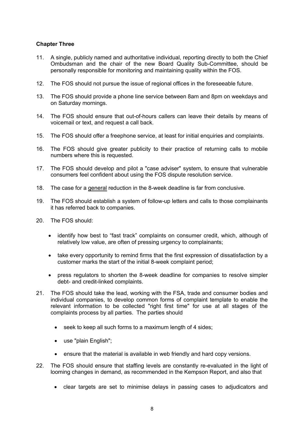# **Chapter Three**

- 11. A single, publicly named and authoritative individual, reporting directly to both the Chief Ombudsman and the chair of the new Board Quality Sub-Committee, should be personally responsible for monitoring and maintaining quality within the FOS.
- 12. The FOS should not pursue the issue of regional offices in the foreseeable future.
- 13. The FOS should provide a phone line service between 8am and 8pm on weekdays and on Saturday mornings.
- 14. The FOS should ensure that out-of-hours callers can leave their details by means of voicemail or text, and request a call back.
- 15. The FOS should offer a freephone service, at least for initial enquiries and complaints.
- 16. The FOS should give greater publicity to their practice of returning calls to mobile numbers where this is requested.
- 17. The FOS should develop and pilot a "case adviser" system, to ensure that vulnerable consumers feel confident about using the FOS dispute resolution service.
- 18. The case for a general reduction in the 8-week deadline is far from conclusive.
- 19. The FOS should establish a system of follow-up letters and calls to those complainants it has referred back to companies.
- 20. The FOS should:
	- · identify how best to "fast track" complaints on consumer credit, which, although of relatively low value, are often of pressing urgency to complainants;
	- take every opportunity to remind firms that the first expression of dissatisfaction by a customer marks the start of the initial 8-week complaint period;
	- · press regulators to shorten the 8-week deadline for companies to resolve simpler debt- and credit-linked complaints.
- 21. The FOS should take the lead, working with the FSA, trade and consumer bodies and individual companies, to develop common forms of complaint template to enable the relevant information to be collected "right first time" for use at all stages of the complaints process by all parties. The parties should
	- · seek to keep all such forms to a maximum length of 4 sides;
	- · use "plain English";
	- · ensure that the material is available in web friendly and hard copy versions.
- 22. The FOS should ensure that staffing levels are constantly re-evaluated in the light of looming changes in demand, as recommended in the Kempson Report, and also that
	- · clear targets are set to minimise delays in passing cases to adjudicators and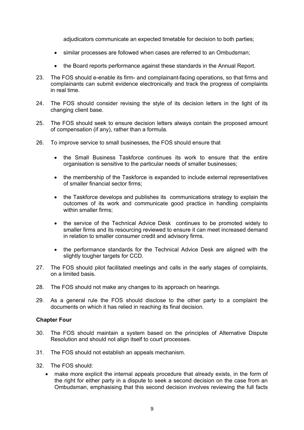adjudicators communicate an expected timetable for decision to both parties;

- · similar processes are followed when cases are referred to an Ombudsman;
- · the Board reports performance against these standards in the Annual Report.
- 23. The FOS should e-enable its firm- and complainant-facing operations, so that firms and complainants can submit evidence electronically and track the progress of complaints in real time.
- 24. The FOS should consider revising the style of its decision letters in the light of its changing client base.
- 25. The FOS should seek to ensure decision letters always contain the proposed amount of compensation (if any), rather than a formula.
- 26. To improve service to small businesses, the FOS should ensure that
	- · the Small Business Taskforce continues its work to ensure that the entire organisation is sensitive to the particular needs of smaller businesses;
	- the membership of the Taskforce is expanded to include external representatives of smaller financial sector firms;
	- · the Taskforce develops and publishes its communications strategy to explain the outcomes of its work and communicate good practice in handling complaints within smaller firms:
	- · the service of the Technical Advice Desk continues to be promoted widely to smaller firms and its resourcing reviewed to ensure it can meet increased demand in relation to smaller consumer credit and advisory firms.
	- · the performance standards for the Technical Advice Desk are aligned with the slightly tougher targets for CCD.
- 27. The FOS should pilot facilitated meetings and calls in the early stages of complaints, on a limited basis.
- 28. The FOS should not make any changes to its approach on hearings.
- 29. As a general rule the FOS should disclose to the other party to a complaint the documents on which it has relied in reaching its final decision.

#### **Chapter Four**

- 30. The FOS should maintain a system based on the principles of Alternative Dispute Resolution and should not align itself to court processes.
- 31. The FOS should not establish an appeals mechanism.
- 32. The FOS should:
	- make more explicit the internal appeals procedure that already exists, in the form of the right for either party in a dispute to seek a second decision on the case from an Ombudsman, emphasising that this second decision involves reviewing the full facts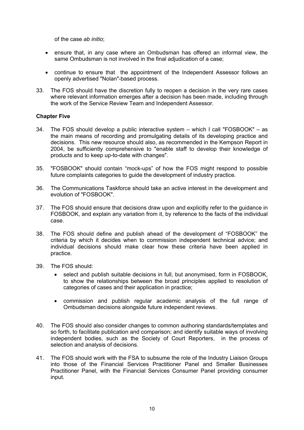of the case *ab initio*;

- · ensure that, in any case where an Ombudsman has offered an informal view, the same Ombudsman is not involved in the final adjudication of a case;
- · continue to ensure that the appointment of the Independent Assessor follows an openly advertised "Nolan"-based process.
- 33. The FOS should have the discretion fully to reopen a decision in the very rare cases where relevant information emerges after a decision has been made, including through the work of the Service Review Team and Independent Assessor.

## **Chapter Five**

- 34. The FOS should develop a public interactive system which I call "FOSBOOK" as the main means of recording and promulgating details of its developing practice and decisions. This new resource should also, as recommended in the Kempson Report in 2004, be sufficiently comprehensive to "enable staff to develop their knowledge of products and to keep up-to-date with changes".
- 35. "FOSBOOK" should contain "mock-ups" of how the FOS might respond to possible future complaints categories to guide the development of industry practice.
- 36. The Communications Taskforce should take an active interest in the development and evolution of "FOSBOOK".
- 37. The FOS should ensure that decisions draw upon and explicitly refer to the guidance in FOSBOOK, and explain any variation from it, by reference to the facts of the individual case.
- 38. The FOS should define and publish ahead of the development of "FOSBOOK" the criteria by which it decides when to commission independent technical advice; and individual decisions should make clear how these criteria have been applied in practice.
- 39. The FOS should:
	- · select and publish suitable decisions in full, but anonymised, form in FOSBOOK, to show the relationships between the broad principles applied to resolution of categories of cases and their application in practice;
	- · commission and publish regular academic analysis of the full range of Ombudsman decisions alongside future independent reviews.
- 40. The FOS should also consider changes to common authoring standards/templates and so forth, to facilitate publication and comparison; and identify suitable ways of involving independent bodies, such as the Society of Court Reporters, in the process of selection and analysis of decisions.
- 41. The FOS should work with the FSA to subsume the role of the Industry Liaison Groups into those of the Financial Services Practitioner Panel and Smaller Businesses Practitioner Panel, with the Financial Services Consumer Panel providing consumer input.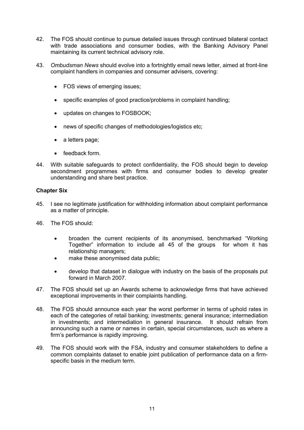- 42. The FOS should continue to pursue detailed issues through continued bilateral contact with trade associations and consumer bodies, with the Banking Advisory Panel maintaining its current technical advisory role.
- 43. *Ombudsman News* should evolve into a fortnightly email news letter, aimed at front-line complaint handlers in companies and consumer advisers, covering:
	- · FOS views of emerging issues;
	- specific examples of good practice/problems in complaint handling;
	- updates on changes to FOSBOOK:
	- · news of specific changes of methodologies/logistics etc;
	- a letters page;
	- feedback form.
- 44. With suitable safeguards to protect confidentiality, the FOS should begin to develop secondment programmes with firms and consumer bodies to develop greater understanding and share best practice.

## **Chapter Six**

- 45. I see no legitimate justification for withholding information about complaint performance as a matter of principle.
- 46. The FOS should:
	- · broaden the current recipients of its anonymised, benchmarked "Working Together" information to include all 45 of the groups for whom it has relationship managers;
	- make these anonymised data public;
	- · develop that dataset in dialogue with industry on the basis of the proposals put forward in March 2007.
- 47. The FOS should set up an Awards scheme to acknowledge firms that have achieved exceptional improvements in their complaints handling.
- 48. The FOS should announce each year the worst performer in terms of uphold rates in each of the categories of retail banking; investments; general insurance; intermediation in investments; and intermediation in general insurance. It should refrain from announcing such a name or names in certain, special circumstances, such as where a firm's performance is rapidly improving.
- 49. The FOS should work with the FSA, industry and consumer stakeholders to define a common complaints dataset to enable joint publication of performance data on a firmspecific basis in the medium term.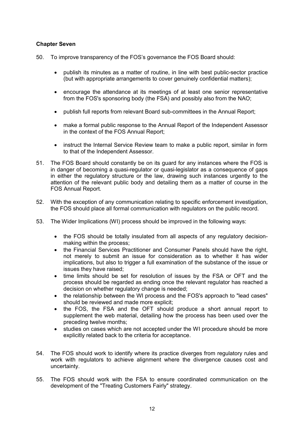# **Chapter Seven**

- 50. To improve transparency of the FOS's governance the FOS Board should:
	- · publish its minutes as a matter of routine, in line with best public-sector practice (but with appropriate arrangements to cover genuinely confidential matters);
	- · encourage the attendance at its meetings of at least one senior representative from the FOS's sponsoring body (the FSA) and possibly also from the NAO;
	- · publish full reports from relevant Board sub-committees in the Annual Report;
	- · make a formal public response to the Annual Report of the Independent Assessor in the context of the FOS Annual Report;
	- instruct the Internal Service Review team to make a public report, similar in form to that of the Independent Assessor.
- 51. The FOS Board should constantly be on its guard for any instances where the FOS is in danger of becoming a quasi-regulator or quasi-legislator as a consequence of gaps in either the regulatory structure or the law, drawing such instances urgently to the attention of the relevant public body and detailing them as a matter of course in the FOS Annual Report.
- 52. With the exception of any communication relating to specific enforcement investigation, the FOS should place all formal communication with regulators on the public record.
- 53. The Wider Implications (WI) process should be improved in the following ways:
	- the FOS should be totally insulated from all aspects of any regulatory decisionmaking within the process;
	- · the Financial Services Practitioner and Consumer Panels should have the right, not merely to submit an issue for consideration as to whether it has wider implications, but also to trigger a full examination of the substance of the issue or issues they have raised;
	- time limits should be set for resolution of issues by the FSA or OFT and the process should be regarded as ending once the relevant regulator has reached a decision on whether regulatory change is needed;
	- · the relationship between the WI process and the FOS's approach to "lead cases" should be reviewed and made more explicit;
	- · the FOS, the FSA and the OFT should produce a short annual report to supplement the web material, detailing how the process has been used over the preceding twelve months;
	- · studies on cases which are not accepted under the WI procedure should be more explicitly related back to the criteria for acceptance.
- 54. The FOS should work to identify where its practice diverges from regulatory rules and work with regulators to achieve alignment where the divergence causes cost and uncertainty.
- 55. The FOS should work with the FSA to ensure coordinated communication on the development of the "Treating Customers Fairly" strategy.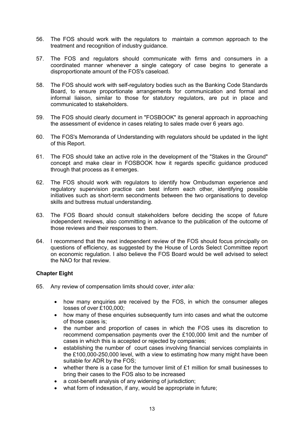- 56. The FOS should work with the regulators to maintain a common approach to the treatment and recognition of industry guidance.
- 57. The FOS and regulators should communicate with firms and consumers in a coordinated manner whenever a single category of case begins to generate a disproportionate amount of the FOS's caseload.
- 58. The FOS should work with self-regulatory bodies such as the Banking Code Standards Board, to ensure proportionate arrangements for communication and formal and informal liaison, similar to those for statutory regulators, are put in place and communicated to stakeholders.
- 59. The FOS should clearly document in "FOSBOOK" its general approach in approaching the assessment of evidence in cases relating to sales made over 6 years ago.
- 60. The FOS's Memoranda of Understanding with regulators should be updated in the light of this Report.
- 61. The FOS should take an active role in the development of the "Stakes in the Ground" concept and make clear in FOSBOOK how it regards specific guidance produced through that process as it emerges.
- 62. The FOS should work with regulators to identify how Ombudsman experience and regulatory supervision practice can best inform each other, identifying possible initiatives such as short-term secondments between the two organisations to develop skills and buttress mutual understanding.
- 63. The FOS Board should consult stakeholders before deciding the scope of future independent reviews, also committing in advance to the publication of the outcome of those reviews and their responses to them.
- 64. I recommend that the next independent review of the FOS should focus principally on questions of efficiency, as suggested by the House of Lords Select Committee report on economic regulation. I also believe the FOS Board would be well advised to select the NAO for that review.

## **Chapter Eight**

- 65. Any review of compensation limits should cover, *inter alia:*
	- · how many enquiries are received by the FOS, in which the consumer alleges losses of over £100,000;
	- · how many of these enquiries subsequently turn into cases and what the outcome of those cases is;
	- · the number and proportion of cases in which the FOS uses its discretion to recommend compensation payments over the £100,000 limit and the number of cases in which this is accepted or rejected by companies;
	- · establishing the number of court cases involving financial services complaints in the £100,000-250,000 level, with a view to estimating how many might have been suitable for ADR by the FOS;
	- whether there is a case for the turnover limit of  $£1$  million for small businesses to bring their cases to the FOS also to be increased
	- a cost-benefit analysis of any widening of jurisdiction;
	- what form of indexation, if any, would be appropriate in future;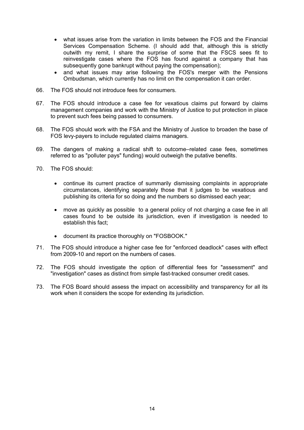- · what issues arise from the variation in limits between the FOS and the Financial Services Compensation Scheme. (I should add that, although this is strictly outwith my remit, I share the surprise of some that the FSCS sees fit to reinvestigate cases where the FOS has found against a company that has subsequently gone bankrupt without paying the compensation);
- and what issues may arise following the FOS's merger with the Pensions Ombudsman, which currently has no limit on the compensation it can order.
- 66. The FOS should not introduce fees for consumers.
- 67. The FOS should introduce a case fee for vexatious claims put forward by claims management companies and work with the Ministry of Justice to put protection in place to prevent such fees being passed to consumers.
- 68. The FOS should work with the FSA and the Ministry of Justice to broaden the base of FOS levy-payers to include regulated claims managers.
- 69. The dangers of making a radical shift to outcome–related case fees, sometimes referred to as "polluter pays" funding) would outweigh the putative benefits.
- 70. The FOS should:
	- · continue its current practice of summarily dismissing complaints in appropriate circumstances, identifying separately those that it judges to be vexatious and publishing its criteria for so doing and the numbers so dismissed each year;
	- · move as quickly as possible to a general policy of not charging a case fee in all cases found to be outside its jurisdiction, even if investigation is needed to establish this fact;
	- · document its practice thoroughly on "FOSBOOK."
- 71. The FOS should introduce a higher case fee for "enforced deadlock" cases with effect from 2009-10 and report on the numbers of cases.
- 72. The FOS should investigate the option of differential fees for "assessment" and "investigation" cases as distinct from simple fast-tracked consumer credit cases.
- 73. The FOS Board should assess the impact on accessibility and transparency for all its work when it considers the scope for extending its jurisdiction.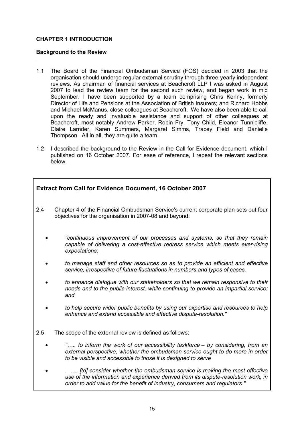# **CHAPTER 1 INTRODUCTION**

#### **Background to the Review**

- 1.1 The Board of the Financial Ombudsman Service (FOS) decided in 2003 that the organisation should undergo regular external scrutiny through three-yearly independent reviews. As chairman of financial services at Beachcroft LLP I was asked in August 2007 to lead the review team for the second such review, and began work in mid September. I have been supported by a team comprising Chris Kenny, formerly Director of Life and Pensions at the Association of British Insurers; and Richard Hobbs and Michael McManus, close colleagues at Beachcroft. We have also been able to call upon the ready and invaluable assistance and support of other colleagues at Beachcroft, most notably Andrew Parker, Robin Fry, Tony Child, Eleanor Tunnicliffe, Claire Larnder, Karen Summers, Margaret Simms, Tracey Field and Danielle Thompson. All in all, they are quite a team.
- 1.2 I described the background to the Review in the Call for Evidence document, which I published on 16 October 2007. For ease of reference, I repeat the relevant sections below.

| <b>Extract from Call for Evidence Document, 16 October 2007</b> |                                                                                                                                                                               |
|-----------------------------------------------------------------|-------------------------------------------------------------------------------------------------------------------------------------------------------------------------------|
| 2.4                                                             | Chapter 4 of the Financial Ombudsman Service's current corporate plan sets out four<br>objectives for the organisation in 2007-08 and beyond:                                 |
|                                                                 | "continuous improvement of our processes and systems, so that they remain<br>capable of delivering a cost-effective redress service which meets ever-rising<br>expectations;  |
|                                                                 | to manage staff and other resources so as to provide an efficient and effective<br>service, irrespective of future fluctuations in numbers and types of cases.                |
|                                                                 | to enhance dialogue with our stakeholders so that we remain responsive to their<br>needs and to the public interest, while continuing to provide an impartial service;<br>and |
|                                                                 | to help secure wider public benefits by using our expertise and resources to help<br>enhance and extend accessible and effective dispute-resolution."                         |
| 2.5                                                             | The scope of the external review is defined as follows:                                                                                                                       |

- · *"….. to inform the work of our accessibility taskforce – by considering, from an external perspective, whether the ombudsman service ought to do more in order to be visible and accessible to those it is designed to serve*
- · *. …. [to] consider whether the ombudsman service is making the most effective use of the information and experience derived from its dispute-resolution work, in order to add value for the benefit of industry, consumers and regulators."*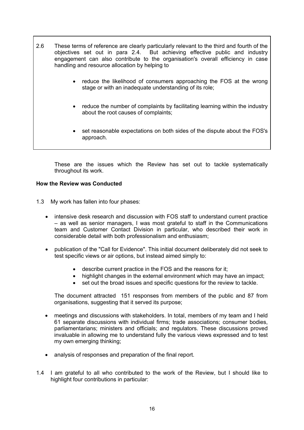2.6 These terms of reference are clearly particularly relevant to the third and fourth of the objectives set out in para 2.4. But achieving effective public and industry engagement can also contribute to the organisation's overall efficiency in case handling and resource allocation by helping to reduce the likelihood of consumers approaching the FOS at the wrong stage or with an inadequate understanding of its role; · reduce the number of complaints by facilitating learning within the industry about the root causes of complaints; set reasonable expectations on both sides of the dispute about the FOS's approach.

These are the issues which the Review has set out to tackle systematically throughout its work.

## **How the Review was Conducted**

- 1.3 My work has fallen into four phases:
	- intensive desk research and discussion with FOS staff to understand current practice – as well as senior managers, I was most grateful to staff in the Communications team and Customer Contact Division in particular, who described their work in considerable detail with both professionalism and enthusiasm;
	- · publication of the "Call for Evidence". This initial document deliberately did not seek to test specific views or air options, but instead aimed simply to:
		- · describe current practice in the FOS and the reasons for it;
		- · highlight changes in the external environment which may have an impact;
		- set out the broad issues and specific questions for the review to tackle.

The document attracted 151 responses from members of the public and 87 from organisations, suggesting that it served its purpose;

- meetings and discussions with stakeholders. In total, members of my team and I held 61 separate discussions with individual firms; trade associations; consumer bodies, parliamentarians; ministers and officials; and regulators. These discussions proved invaluable in allowing me to understand fully the various views expressed and to test my own emerging thinking;
- analysis of responses and preparation of the final report.
- 1.4 I am grateful to all who contributed to the work of the Review, but I should like to highlight four contributions in particular: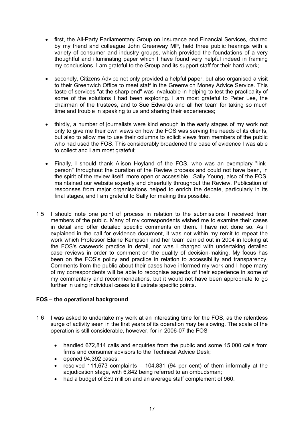- · first, the All-Party Parliamentary Group on Insurance and Financial Services, chaired by my friend and colleague John Greenway MP, held three public hearings with a variety of consumer and industry groups, which provided the foundations of a very thoughtful and illuminating paper which I have found very helpful indeed in framing my conclusions. I am grateful to the Group and its support staff for their hard work;
- secondly, Citizens Advice not only provided a helpful paper, but also organised a visit to their Greenwich Office to meet staff in the Greenwich Money Advice Service. This taste of services "at the sharp end" was invaluable in helping to test the practicality of some of the solutions I had been exploring. I am most grateful to Peter Lee, the chairman of the trustees, and to Sue Edwards and all her team for taking so much time and trouble in speaking to us and sharing their experiences;
- · thirdly, a number of journalists were kind enough in the early stages of my work not only to give me their own views on how the FOS was serving the needs of its clients, but also to allow me to use their columns to solicit views from members of the public who had used the FOS. This considerably broadened the base of evidence I was able to collect and I am most grateful;
- · Finally, I should thank Alison Hoyland of the FOS, who was an exemplary "linkperson" throughout the duration of the Review process and could not have been, in the spirit of the review itself, more open or accessible. Sally Young, also of the FOS, maintained our website expertly and cheerfully throughout the Review. Publication of responses from major organisations helped to enrich the debate, particularly in its final stages, and I am grateful to Sally for making this possible.
- 1.5 I should note one point of process in relation to the submissions I received from members of the public. Many of my correspondents wished me to examine their cases in detail and offer detailed specific comments on them. I have not done so. As I explained in the call for evidence document, it was not within my remit to repeat the work which Professor Elaine Kempson and her team carried out in 2004 in looking at the FOS's casework practice in detail, nor was I charged with undertaking detailed case reviews in order to comment on the quality of decision-making. My focus has been on the FOS's policy and practice in relation to accessibility and transparency. Comments from the public about their cases have informed my work and I hope many of my correspondents will be able to recognise aspects of their experience in some of my commentary and recommendations, but it would not have been appropriate to go further in using individual cases to illustrate specific points.

## **FOS – the operational background**

- 1.6 I was asked to undertake my work at an interesting time for the FOS, as the relentless surge of activity seen in the first years of its operation may be slowing. The scale of the operation is still considerable, however, for in 2006-07 the FOS
	- · handled 672,814 calls and enquiries from the public and some 15,000 calls from firms and consumer advisors to the Technical Advice Desk;
	- · opened 94,392 cases;
	- resolved 111,673 complaints  $-$  104,831 (94 per cent) of them informally at the adjudication stage, with 6,842 being referred to an ombudsman;
	- had a budget of £59 million and an average staff complement of 960.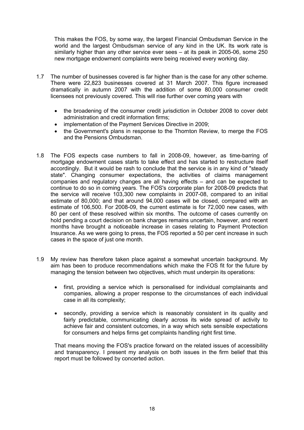This makes the FOS, by some way, the largest Financial Ombudsman Service in the world and the largest Ombudsman service of any kind in the UK. Its work rate is similarly higher than any other service ever sees – at its peak in 2005-06, some 250 new mortgage endowment complaints were being received every working day.

- 1.7 The number of businesses covered is far higher than is the case for any other scheme. There were 22,823 businesses covered at 31 March 2007. This figure increased dramatically in autumn 2007 with the addition of some 80,000 consumer credit licensees not previously covered. This will rise further over coming years with
	- · the broadening of the consumer credit jurisdiction in October 2008 to cover debt administration and credit information firms;
	- · implementation of the Payment Services Directive in 2009;
	- the Government's plans in response to the Thornton Review, to merge the FOS and the Pensions Ombudsman.
- 1.8 The FOS expects case numbers to fall in 2008-09, however, as time-barring of mortgage endowment cases starts to take effect and has started to restructure itself accordingly. But it would be rash to conclude that the service is in any kind of "steady state". Changing consumer expectations, the activities of claims management companies and regulatory changes are all having effects – and can be expected to continue to do so in coming years. The FOS's corporate plan for 2008-09 predicts that the service will receive 103,300 new complaints in 2007-08, compared to an initial estimate of 80,000; and that around 94,000 cases will be closed, compared with an estimate of 106,500. For 2008-09, the current estimate is for 72,000 new cases, with 80 per cent of these resolved within six months. The outcome of cases currently on hold pending a court decision on bank charges remains uncertain, however, and recent months have brought a noticeable increase in cases relating to Payment Protection Insurance. As we were going to press, the FOS reported a 50 per cent increase in such cases in the space of just one month.
- 1.9 My review has therefore taken place against a somewhat uncertain background. My aim has been to produce recommendations which make the FOS fit for the future by managing the tension between two objectives, which must underpin its operations:
	- · first, providing a service which is personalised for individual complainants and companies, allowing a proper response to the circumstances of each individual case in all its complexity;
	- · secondly, providing a service which is reasonably consistent in its quality and fairly predictable, communicating clearly across its wide spread of activity to achieve fair and consistent outcomes, in a way which sets sensible expectations for consumers and helps firms get complaints handling right first time.

That means moving the FOS's practice forward on the related issues of accessibility and transparency. I present my analysis on both issues in the firm belief that this report must be followed by concerted action.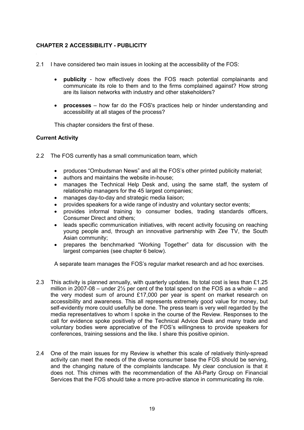# **CHAPTER 2 ACCESSIBILITY - PUBLICITY**

- 2.1 I have considered two main issues in looking at the accessibility of the FOS:
	- publicity how effectively does the FOS reach potential complainants and communicate its role to them and to the firms complained against? How strong are its liaison networks with industry and other stakeholders?
	- · **processes** how far do the FOS's practices help or hinder understanding and accessibility at all stages of the process?

This chapter considers the first of these.

# **Current Activity**

- 2.2 The FOS currently has a small communication team, which
	- · produces "Ombudsman News" and all the FOS's other printed publicity material;
	- · authors and maintains the website in-house;
	- · manages the Technical Help Desk and, using the same staff, the system of relationship managers for the 45 largest companies;
	- · manages day-to-day and strategic media liaison;
	- · provides speakers for a wide range of industry and voluntary sector events;
	- · provides informal training to consumer bodies, trading standards officers, Consumer Direct and others;
	- leads specific communication initiatives, with recent activity focusing on reaching young people and, through an innovative partnership with Zee TV, the South Asian community;
	- · prepares the benchmarked "Working Together" data for discussion with the largest companies (see chapter 6 below).

A separate team manages the FOS's regular market research and ad hoc exercises.

- 2.3 This activity is planned annually, with quarterly updates. Its total cost is less than £1.25 million in 2007-08 – under  $2\frac{1}{2}$  per cent of the total spend on the FOS as a whole – and the very modest sum of around £17,000 per year is spent on market research on accessibility and awareness. This all represents extremely good value for money, but self-evidently more could usefully be done. The press team is very well regarded by the media representatives to whom I spoke in the course of the Review. Responses to the call for evidence spoke positively of the Technical Advice Desk and many trade and voluntary bodies were appreciative of the FOS's willingness to provide speakers for conferences, training sessions and the like. I share this positive opinion.
- 2.4 One of the main issues for my Review is whether this scale of relatively thinly-spread activity can meet the needs of the diverse consumer base the FOS should be serving, and the changing nature of the complaints landscape. My clear conclusion is that it does not. This chimes with the recommendation of the All-Party Group on Financial Services that the FOS should take a more pro-active stance in communicating its role.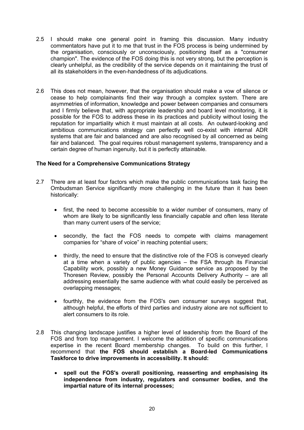- 2.5 I should make one general point in framing this discussion. Many industry commentators have put it to me that trust in the FOS process is being undermined by the organisation, consciously or unconsciously, positioning itself as a "consumer champion". The evidence of the FOS doing this is not very strong, but the perception is clearly unhelpful, as the credibility of the service depends on it maintaining the trust of all its stakeholders in the even-handedness of its adjudications.
- 2.6 This does not mean, however, that the organisation should make a vow of silence or cease to help complainants find their way through a complex system. There are asymmetries of information, knowledge and power between companies and consumers and I firmly believe that, with appropriate leadership and board level monitoring, it is possible for the FOS to address these in its practices and publicity without losing the reputation for impartiality which it must maintain at all costs. An outward-looking and ambitious communications strategy can perfectly well co-exist with internal ADR systems that are fair and balanced and are also recognised by all concerned as being fair and balanced. The goal requires robust management systems, transparency and a certain degree of human ingenuity, but it is perfectly attainable.

# **The Need for a Comprehensive Communications Strategy**

- 2.7 There are at least four factors which make the public communications task facing the Ombudsman Service significantly more challenging in the future than it has been historically:
	- · first, the need to become accessible to a wider number of consumers, many of whom are likely to be significantly less financially capable and often less literate than many current users of the service;
	- · secondly, the fact the FOS needs to compete with claims management companies for "share of voice" in reaching potential users;
	- thirdly, the need to ensure that the distinctive role of the FOS is conveyed clearly at a time when a variety of public agencies – the FSA through its Financial Capability work, possibly a new Money Guidance service as proposed by the Thoresen Review, possibly the Personal Accounts Delivery Authority – are all addressing essentially the same audience with what could easily be perceived as overlapping messages;
	- · fourthly, the evidence from the FOS's own consumer surveys suggest that, although helpful, the efforts of third parties and industry alone are not sufficient to alert consumers to its role.
- 2.8 This changing landscape justifies a higher level of leadership from the Board of the FOS and from top management. I welcome the addition of specific communications expertise in the recent Board membership changes. To build on this further, I recommend that **the FOS should establish a Board-led Communications Taskforce to drive improvements in accessibility. It should:**
	- · **spell out the FOS's overall positioning, reasserting and emphasising its independence from industry, regulators and consumer bodies, and the impartial nature of its internal processes;**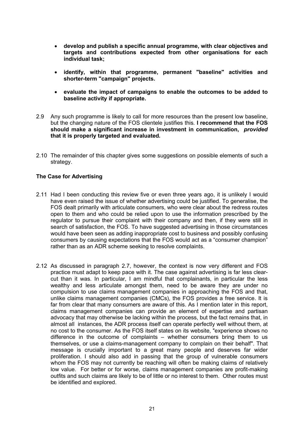- · **develop and publish a specific annual programme, with clear objectives and targets and contributions expected from other organisations for each individual task;**
- · **identify, within that programme, permanent "baseline" activities and shorter-term "campaign" projects.**
- · **evaluate the impact of campaigns to enable the outcomes to be added to baseline activity if appropriate.**
- 2.9 Any such programme is likely to call for more resources than the present low baseline, but the changing nature of the FOS clientele justifies this. **I recommend that the FOS should make a significant increase in investment in communication,** *provided*  **that it is properly targeted and evaluated.**
- 2.10 The remainder of this chapter gives some suggestions on possible elements of such a strategy.

## **The Case for Advertising**

- 2.11 Had I been conducting this review five or even three years ago, it is unlikely I would have even raised the issue of whether advertising could be justified. To generalise, the FOS dealt primarily with articulate consumers, who were clear about the redress routes open to them and who could be relied upon to use the information prescribed by the regulator to pursue their complaint with their company and then, if they were still in search of satisfaction, the FOS. To have suggested advertising in those circumstances would have been seen as adding inappropriate cost to business and possibly confusing consumers by causing expectations that the FOS would act as a "consumer champion" rather than as an ADR scheme seeking to resolve complaints.
- 2.12 As discussed in paragraph 2.7, however, the context is now very different and FOS practice must adapt to keep pace with it. The case against advertising is far less clearcut than it was. In particular, I am mindful that complainants, in particular the less wealthy and less articulate amongst them, need to be aware they are under no compulsion to use claims management companies in approaching the FOS and that, unlike claims management companies (CMCs), the FOS provides a free service. It is far from clear that many consumers are aware of this. As I mention later in this report, claims management companies can provide an element of expertise and partisan advocacy that may otherwise be lacking within the process, but the fact remains that, in almost all instances, the ADR process itself can operate perfectly well without them, at no cost to the consumer. As the FOS itself states on its website, "experience shows no difference in the outcome of complaints – whether consumers bring them to us themselves, or use a claims-management company to complain on their behalf". That message is crucially important to a great many people and deserves far wider proliferation. I should also add in passing that the group of vulnerable consumers whom the FOS may not currently be reaching will often be making claims of relatively low value. For better or for worse, claims management companies are profit-making outfits and such claims are likely to be of little or no interest to them. Other routes must be identified and explored.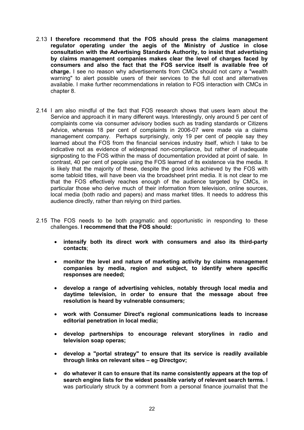- 2.13 **I therefore recommend that the FOS should press the claims management regulator operating under the aegis of the Ministry of Justice in close consultation with the Advertising Standards Authority, to insist that advertising by claims management companies makes clear the level of charges faced by consumers and also the fact that the FOS service itself is available free of charge.** I see no reason why advertisements from CMCs should not carry a "wealth warning" to alert possible users of their services to the full cost and alternatives available. I make further recommendations in relation to FOS interaction with CMCs in chapter 8.
- 2.14 I am also mindful of the fact that FOS research shows that users learn about the Service and approach it in many different ways. Interestingly, only around 5 per cent of complaints come via consumer advisory bodies such as trading standards or Citizens Advice, whereas 18 per cent of complaints in 2006-07 were made via a claims management company. Perhaps surprisingly, only 19 per cent of people say they learned about the FOS from the financial services industry itself, which I take to be indicative not as evidence of widespread non-compliance, but rather of inadequate signposting to the FOS within the mass of documentation provided at point of sale. In contrast, 40 per cent of people using the FOS learned of its existence via the media. It is likely that the majority of these, despite the good links achieved by the FOS with some tabloid titles, will have been via the broadsheet print media. It is not clear to me that the FOS effectively reaches enough of the audience targeted by CMCs, in particular those who derive much of their information from television, online sources, local media (both radio and papers) and mass market titles. It needs to address this audience directly, rather than relying on third parties.
- 2.15 The FOS needs to be both pragmatic and opportunistic in responding to these challenges. **I recommend that the FOS should:** 
	- · **intensify both its direct work with consumers and also its third-party contacts**;
	- · **monitor the level and nature of marketing activity by claims management companies by media, region and subject, to identify where specific responses are needed;**
	- · **develop a range of advertising vehicles, notably through local media and daytime television, in order to ensure that the message about free resolution is heard by vulnerable consumers;**
	- · **work with Consumer Direct's regional communications leads to increase editorial penetration in local media;**
	- · **develop partnerships to encourage relevant storylines in radio and television soap operas;**
	- · **develop a "portal strategy" to ensure that its service is readily available through links on relevant sites – eg Directgov;**
	- · **do whatever it can to ensure that its name consistently appears at the top of search engine lists for the widest possible variety of relevant search terms.** I was particularly struck by a comment from a personal finance journalist that the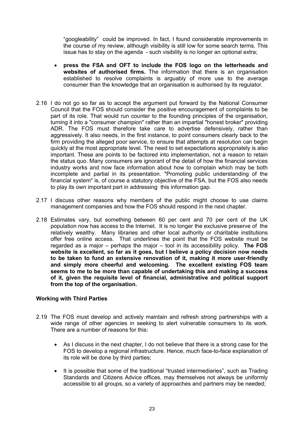"googleability" could be improved. In fact, I found considerable improvements in the course of my review, although visibility is still low for some search terms. This issue has to stay on the agenda - such visibility is no longer an optional extra;

- · **press the FSA and OFT to include the FOS logo on the letterheads and websites of authorised firms.** The information that there is an organisation established to resolve complaints is arguably of more use to the average consumer than the knowledge that an organisation is authorised by its regulator.
- 2.16 I do not go so far as to accept the argument put forward by the National Consumer Council that the FOS should consider the positive encouragement of complaints to be part of its role. That would run counter to the founding principles of the organisation, turning it into a "consumer champion" rather than an impartial "honest broker" providing ADR. The FOS must therefore take care to advertise defensively, rather than aggressively. It also needs, in the first instance, to point consumers clearly back to the firm providing the alleged poor service, to ensure that attempts at resolution can begin quickly at the most appropriate level. The need to set expectations appropriately is also important. These are points to be factored into implementation, not a reason to retain the status quo. Many consumers are ignorant of the detail of how the financial services industry works and now face information about how to complain which may be both incomplete and partial in its presentation. "Promoting public understanding of the financial system" is, of course a statutory objective of the FSA, but the FOS also needs to play its own important part in addressing this information gap.
- 2.17 I discuss other reasons why members of the public might choose to use claims management companies and how the FOS should respond in the next chapter.
- 2.18 Estimates vary, but something between 60 per cent and 70 per cent of the UK population now has access to the Internet. It is no longer the exclusive preserve of the relatively wealthy. Many libraries and other local authority or charitable institutions offer free online access. That underlines the point that the FOS website must be regarded as a major – perhaps the major – tool in its accessibility policy. **The FOS website is excellent, so far as it goes, but I believe a policy decision now needs to be taken to fund an extensive renovation of it, making it more user-friendly and simply more cheerful and welcoming. The excellent existing FOS team seems to me to be more than capable of undertaking this and making a success of it, given the requisite level of financial, administrative and political support from the top of the organisation.**

## **Working with Third Parties**

- 2.19 The FOS must develop and actively maintain and refresh strong partnerships with a wide range of other agencies in seeking to alert vulnerable consumers to its work. There are a number of reasons for this:
	- As I discuss in the next chapter, I do not believe that there is a strong case for the FOS to develop a regional infrastructure. Hence, much face-to-face explanation of its role will be done by third parties;
	- It is possible that some of the traditional "trusted intermediaries", such as Trading Standards and Citizens Advice offices, may themselves not always be uniformly accessible to all groups, so a variety of approaches and partners may be needed;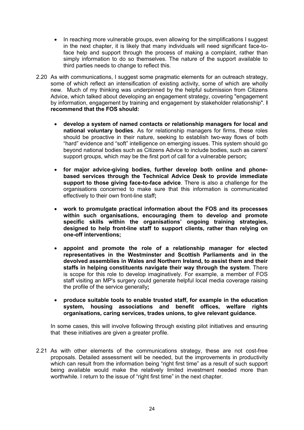- In reaching more vulnerable groups, even allowing for the simplifications I suggest in the next chapter, it is likely that many individuals will need significant face-toface help and support through the process of making a complaint, rather than simply information to do so themselves. The nature of the support available to third parties needs to change to reflect this.
- 2.20 As with communications, I suggest some pragmatic elements for an outreach strategy, some of which reflect an intensification of existing activity, some of which are wholly new. Much of my thinking was underpinned by the helpful submission from Citizens Advice, which talked about developing an engagement strategy, covering "engagement by information, engagement by training and engagement by stakeholder relationship". **I recommend that the FOS should:**
	- · **develop a system of named contacts or relationship managers for local and national voluntary bodies**. As for relationship managers for firms, these roles should be proactive in their nature, seeking to establish two-way flows of both "hard" evidence and "soft" intelligence on emerging issues. This system should go beyond national bodies such as Citizens Advice to include bodies, such as carers' support groups, which may be the first port of call for a vulnerable person**;**
	- · **for major advice-giving bodies, further develop both online and phonebased services through the Technical Advice Desk to provide immediate support to those giving face-to-face advice**. There is also a challenge for the organisations concerned to make sure that this information is communicated effectively to their own front-line staff**;**
	- · **work to promulgate practical information about the FOS and its processes within such organisations, encouraging them to develop and promote specific skills within the organisations' ongoing training strategies, designed to help front-line staff to support clients, rather than relying on one-off interventions;**
	- · **appoint and promote the role of a relationship manager for elected representatives in the Westminster and Scottish Parliaments and in the devolved assemblies in Wales and Northern Ireland, to assist them and their staffs in helping constituents navigate their way through the system**. There is scope for this role to develop imaginatively. For example, a member of FOS staff visiting an MP's surgery could generate helpful local media coverage raising the profile of the service generally**;**
	- · **produce suitable tools to enable trusted staff, for example in the education system, housing associations and benefit offices, welfare rights organisations, caring services, trades unions, to give relevant guidance.**

In some cases, this will involve following through existing pilot initiatives and ensuring that these initiatives are given a greater profile.

2.21 As with other elements of the communications strategy, these are not cost-free proposals. Detailed assessment will be needed, but the improvements in productivity which can result from the information being "right first time" as a result of such support being available would make the relatively limited investment needed more than worthwhile. I return to the issue of "right first time" in the next chapter.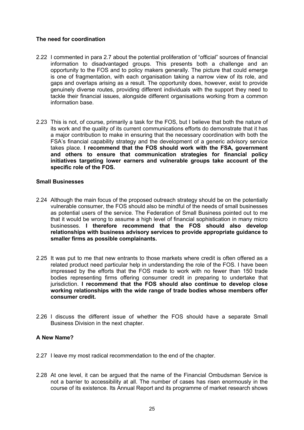# **The need for coordination**

- 2.22 I commented in para 2.7 about the potential proliferation of "official" sources of financial information to disadvantaged groups. This presents both a challenge and an opportunity to the FOS and to policy makers generally. The picture that could emerge is one of fragmentation, with each organisation taking a narrow view of its role, and gaps and overlaps arising as a result. The opportunity does, however, exist to provide genuinely diverse routes, providing different individuals with the support they need to tackle their financial issues, alongside different organisations working from a common information base.
- 2.23 This is not, of course, primarily a task for the FOS, but I believe that both the nature of its work and the quality of its current communications efforts do demonstrate that it has a major contribution to make in ensuring that the necessary coordination with both the FSA's financial capability strategy and the development of a generic advisory service takes place. **I recommend that the FOS should work with the FSA, government and others to ensure that communication strategies for financial policy initiatives targeting lower earners and vulnerable groups take account of the specific role of the FOS.**

# **Small Businesses**

- 2.24 Although the main focus of the proposed outreach strategy should be on the potentially vulnerable consumer, the FOS should also be mindful of the needs of small businesses as potential users of the service. The Federation of Small Business pointed out to me that it would be wrong to assume a high level of financial sophistication in many micro businesses. **I therefore recommend that the FOS should also develop relationships with business advisory services to provide appropriate guidance to smaller firms as possible complainants.**
- 2.25 It was put to me that new entrants to those markets where credit is often offered as a related product need particular help in understanding the role of the FOS. I have been impressed by the efforts that the FOS made to work with no fewer than 150 trade bodies representing firms offering consumer credit in preparing to undertake that jurisdiction. **I recommend that the FOS should also continue to develop close working relationships with the wide range of trade bodies whose members offer consumer credit.**
- 2.26 I discuss the different issue of whether the FOS should have a separate Small Business Division in the next chapter.

# **A New Name?**

- 2.27 I leave my most radical recommendation to the end of the chapter.
- 2.28 At one level, it can be argued that the name of the Financial Ombudsman Service is not a barrier to accessibility at all. The number of cases has risen enormously in the course of its existence. Its Annual Report and its programme of market research shows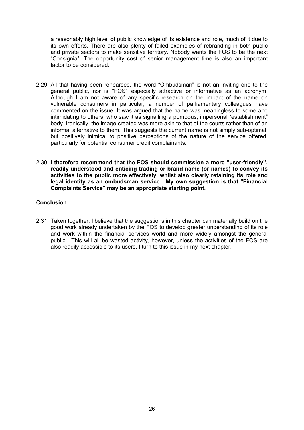a reasonably high level of public knowledge of its existence and role, much of it due to its own efforts. There are also plenty of failed examples of rebranding in both public and private sectors to make sensitive territory. Nobody wants the FOS to be the next "Consignia"! The opportunity cost of senior management time is also an important factor to be considered.

- 2.29 All that having been rehearsed, the word "Ombudsman" is not an inviting one to the general public, nor is "FOS" especially attractive or informative as an acronym. Although I am not aware of any specific research on the impact of the name on vulnerable consumers in particular, a number of parliamentary colleagues have commented on the issue. It was argued that the name was meaningless to some and intimidating to others, who saw it as signalling a pompous, impersonal "establishment" body. Ironically, the image created was more akin to that of the courts rather than of an informal alternative to them. This suggests the current name is not simply sub-optimal, but positively inimical to positive perceptions of the nature of the service offered, particularly for potential consumer credit complainants.
- 2.30 **I therefore recommend that the FOS should commission a more "user-friendly", readily understood and enticing trading or brand name (or names) to convey its activities to the public more effectively, whilst also clearly retaining its role and legal identity as an ombudsman service. My own suggestion is that "Financial Complaints Service" may be an appropriate starting point.**

# **Conclusion**

2.31 Taken together, I believe that the suggestions in this chapter can materially build on the good work already undertaken by the FOS to develop greater understanding of its role and work within the financial services world and more widely amongst the general public. This will all be wasted activity, however, unless the activities of the FOS are also readily accessible to its users. I turn to this issue in my next chapter.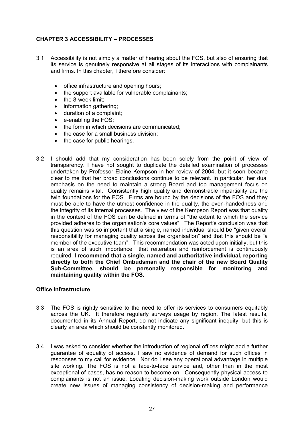# **CHAPTER 3 ACCESSIBILITY – PROCESSES**

- 3.1 Accessibility is not simply a matter of hearing about the FOS, but also of ensuring that its service is genuinely responsive at all stages of its interactions with complainants and firms. In this chapter, I therefore consider:
	- · office infrastructure and opening hours;
	- · the support available for vulnerable complainants;
	- the 8-week limit;
	- information gathering:
	- · duration of a complaint;
	- · e-enabling the FOS;
	- the form in which decisions are communicated;
	- · the case for a small business division;
	- the case for public hearings.
- 3.2 I should add that my consideration has been solely from the point of view of transparency. I have not sought to duplicate the detailed examination of processes undertaken by Professor Elaine Kempson in her review of 2004, but it soon became clear to me that her broad conclusions continue to be relevant. In particular, her dual emphasis on the need to maintain a strong Board and top management focus on quality remains vital. Consistently high quality and demonstrable impartiality are the twin foundations for the FOS. Firms are bound by the decisions of the FOS and they must be able to have the utmost confidence in the quality, the even-handedness and the integrity of its internal processes. The view of the Kempson Report was that quality in the context of the FOS can be defined in terms of "the extent to which the service provided adheres to the organisation's core values". The Report's conclusion was that this question was so important that a single, named individual should be "given overall responsibility for managing quality across the organisation" and that this should be "a member of the executive team". This recommendation was acted upon initially, but this is an area of such importance that reiteration and reinforcement is continuously required. **I recommend that a single, named and authoritative individual, reporting directly to both the Chief Ombudsman and the chair of the new Board Quality Sub-Committee, should be personally responsible for monitoring and maintaining quality within the FOS.**

#### **Office Infrastructure**

- 3.3 The FOS is rightly sensitive to the need to offer its services to consumers equitably across the UK. It therefore regularly surveys usage by region. The latest results, documented in its Annual Report, do not indicate any significant inequity, but this is clearly an area which should be constantly monitored.
- 3.4 I was asked to consider whether the introduction of regional offices might add a further guarantee of equality of access. I saw no evidence of demand for such offices in responses to my call for evidence. Nor do I see any operational advantage in multiple site working. The FOS is not a face-to-face service and, other than in the most exceptional of cases, has no reason to become on. Consequently physical access to complainants is not an issue. Locating decision-making work outside London would create new issues of managing consistency of decision-making and performance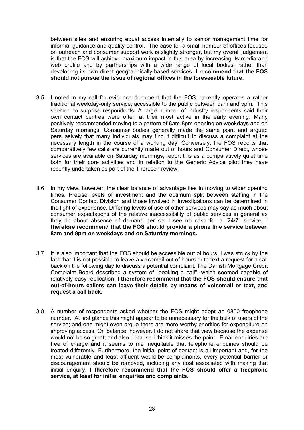between sites and ensuring equal access internally to senior management time for informal guidance and quality control. The case for a small number of offices focused on outreach and consumer support work is slightly stronger, but my overall judgement is that the FOS will achieve maximum impact in this area by increasing its media and web profile and by partnerships with a wide range of local bodies, rather than developing its own direct geographically-based services. **I recommend that the FOS should not pursue the issue of regional offices in the foreseeable future.**

- 3.5 I noted in my call for evidence document that the FOS currently operates a rather traditional weekday-only service, accessible to the public between 9am and 5pm. This seemed to surprise respondents. A large number of industry respondents said their own contact centres were often at their most active in the early evening. Many positively recommended moving to a pattern of 8am-8pm opening on weekdays and on Saturday mornings. Consumer bodies generally made the same point and argued persuasively that many individuals may find it difficult to discuss a complaint at the necessary length in the course of a working day. Conversely, the FOS reports that comparatively few calls are currently made out of hours and Consumer Direct, whose services are available on Saturday mornings, report this as a comparatively quiet time both for their core activities and in relation to the Generic Advice pilot they have recently undertaken as part of the Thoresen review.
- 3.6 In my view, however, the clear balance of advantage lies in moving to wider opening times. Precise levels of investment and the optimum split between staffing in the Consumer Contact Division and those involved in investigations can be determined in the light of experience. Differing levels of use of other services may say as much about consumer expectations of the relative inaccessibility of public services in general as they do about absence of demand per se. I see no case for a "24/7" service, **I therefore recommend that the FOS should provide a phone line service between 8am and 8pm on weekdays and on Saturday mornings.**
- 3.7 It is also important that the FOS should be accessible out of hours. I was struck by the fact that it is not possible to leave a voicemail out of hours or to text a request for a call back on the following day to discuss a potential complaint. The Danish Mortgage Credit Complaint Board described a system of "booking a call", which seemed capable of relatively easy replication. **I therefore recommend that the FOS should ensure that out-of-hours callers can leave their details by means of voicemail or text, and request a call back.**
- 3.8 A number of respondents asked whether the FOS might adopt an 0800 freephone number. At first glance this might appear to be unnecessary for the bulk of users of the service; and one might even argue there are more worthy priorities for expenditure on improving access. On balance, however, I do not share that view because the expense would not be so great; and also because I think it misses the point. Email enquiries are free of charge and it seems to me inequitable that telephone enquiries should be treated differently. Furthermore, the initial point of contact is all-important and, for the most vulnerable and least affluent would-be complainants, every potential barrier or discouragement should be removed, including any cost associated with making that initial enquiry. **I therefore recommend that the FOS should offer a freephone service, at least for initial enquiries and complaints.**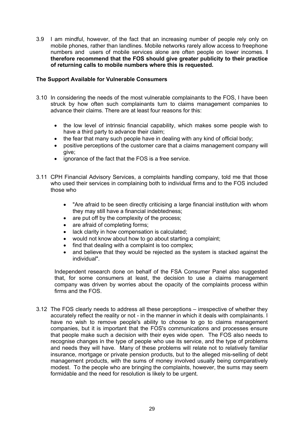3.9 I am mindful, however, of the fact that an increasing number of people rely only on mobile phones, rather than landlines. Mobile networks rarely allow access to freephone numbers and users of mobile services alone are often people on lower incomes. **I therefore recommend that the FOS should give greater publicity to their practice of returning calls to mobile numbers where this is requested.**

# **The Support Available for Vulnerable Consumers**

- 3.10 In considering the needs of the most vulnerable complainants to the FOS, I have been struck by how often such complainants turn to claims management companies to advance their claims. There are at least four reasons for this:
	- the low level of intrinsic financial capability, which makes some people wish to have a third party to advance their claim;
	- the fear that many such people have in dealing with any kind of official body;
	- · positive perceptions of the customer care that a claims management company will give;
	- · ignorance of the fact that the FOS is a free service.
- 3.11 CPH Financial Advisory Services, a complaints handling company, told me that those who used their services in complaining both to individual firms and to the FOS included those who
	- · "Are afraid to be seen directly criticising a large financial institution with whom they may still have a financial indebtedness;
	- · are put off by the complexity of the process;
	- are afraid of completing forms:
	- · lack clarity in how compensation is calculated;
	- · would not know about how to go about starting a complaint;
	- find that dealing with a complaint is too complex;
	- and believe that they would be rejected as the system is stacked against the individual".

Independent research done on behalf of the FSA Consumer Panel also suggested that, for some consumers at least, the decision to use a claims management company was driven by worries about the opacity of the complaints process within firms and the FOS.

3.12 The FOS clearly needs to address all these perceptions – irrespective of whether they accurately reflect the reality or not - in the manner in which it deals with complainants. I have no wish to remove people's ability to choose to go to claims management companies, but it is important that the FOS's communications and processes ensure that people make such a decision with their eyes wide open. The FOS also needs to recognise changes in the type of people who use its service, and the type of problems and needs they will have. Many of these problems will relate not to relatively familiar insurance, mortgage or private pension products, but to the alleged mis-selling of debt management products, with the sums of money involved usually being comparatively modest. To the people who are bringing the complaints, however, the sums may seem formidable and the need for resolution is likely to be urgent.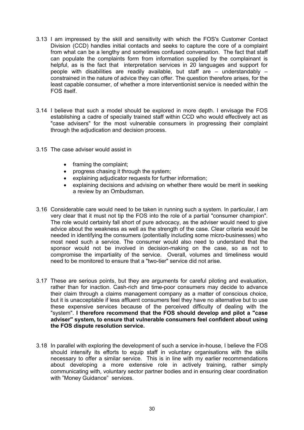- 3.13 I am impressed by the skill and sensitivity with which the FOS's Customer Contact Division (CCD) handles initial contacts and seeks to capture the core of a complaint from what can be a lengthy and sometimes confused conversation. The fact that staff can populate the complaints form from information supplied by the complainant is helpful, as is the fact that interpretation services in 20 languages and support for people with disabilities are readily available, but staff are – understandably – constrained in the nature of advice they can offer. The question therefore arises, for the least capable consumer, of whether a more interventionist service is needed within the FOS itself.
- 3.14 I believe that such a model should be explored in more depth. I envisage the FOS establishing a cadre of specially trained staff within CCD who would effectively act as "case advisers" for the most vulnerable consumers in progressing their complaint through the adjudication and decision process.
- 3.15 The case adviser would assist in
	- framing the complaint;
	- · progress chasing it through the system;
	- · explaining adjudicator requests for further information;
	- explaining decisions and advising on whether there would be merit in seeking a review by an Ombudsman.
- 3.16 Considerable care would need to be taken in running such a system. In particular, I am very clear that it must not tip the FOS into the role of a partial "consumer champion". The role would certainly fall short of pure advocacy, as the adviser would need to give advice about the weakness as well as the strength of the case. Clear criteria would be needed in identifying the consumers (potentially including some micro-businesses) who most need such a service. The consumer would also need to understand that the sponsor would not be involved in decision-making on the case, so as not to compromise the impartiality of the service. Overall, volumes and timeliness would need to be monitored to ensure that a "two-tier" service did not arise.
- 3.17 These are serious points, but they are arguments for careful piloting and evaluation, rather than for inaction. Cash-rich and time-poor consumers may decide to advance their claim through a claims management company as a matter of conscious choice, but it is unacceptable if less affluent consumers feel they have no alternative but to use these expensive services because of the perceived difficulty of dealing with the "system". **I therefore recommend that the FOS should develop and pilot a "case adviser" system, to ensure that vulnerable consumers feel confident about using the FOS dispute resolution service.**
- 3.18 In parallel with exploring the development of such a service in-house, I believe the FOS should intensify its efforts to equip staff in voluntary organisations with the skills necessary to offer a similar service. This is in line with my earlier recommendations about developing a more extensive role in actively training, rather simply communicating with, voluntary sector partner bodies and in ensuring clear coordination with "Money Guidance" services.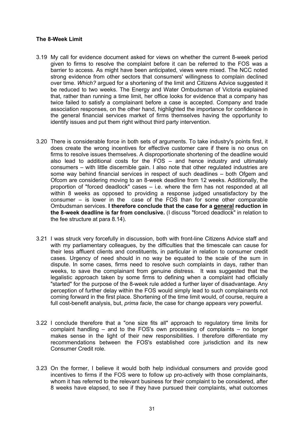#### **The 8-Week Limit**

- 3.19 My call for evidence document asked for views on whether the current 8-week period given to firms to resolve the complaint before it can be referred to the FOS was a barrier to access. As might have been anticipated, views were mixed. The NCC noted strong evidence from other sectors that consumers' willingness to complain declined over time. *Which?* argued for a shortening of the limit and Citizens Advice suggested it be reduced to two weeks. The Energy and Water Ombudsman of Victoria explained that, rather than running a time limit, her office looks for evidence that a company has twice failed to satisfy a complainant before a case is accepted. Company and trade association responses, on the other hand, highlighted the importance for confidence in the general financial services market of firms themselves having the opportunity to identify issues and put them right without third party intervention.
- 3.20 There is considerable force in both sets of arguments. To take industry's points first, it does create the wrong incentives for effective customer care if there is no onus on firms to resolve issues themselves. A disproportionate shortening of the deadline would also lead to additional costs for the FOS – and hence industry and ultimately consumers – with little discernible gain. I also note that other regulated industries are some way behind financial services in respect of such deadlines – both Ofgem and Ofcom are considering moving to an 8-week deadline from 12 weeks. Additionally, the proportion of "forced deadlock" cases – i.e. where the firm has not responded at all within 8 weeks as opposed to providing a response judged unsatisfactory by the consumer – is lower in the case of the FOS than for some other comparable Ombudsman services. **I therefore conclude that the case for a general reduction in the 8-week deadline is far from conclusive.** (I discuss "forced deadlock" in relation to the fee structure at para 8.14).
- 3.21 I was struck very forcefully in discussion, both with front-line Citizens Advice staff and with my parliamentary colleagues, by the difficulties that the timescale can cause for their less affluent clients and constituents, in particular in relation to consumer credit cases. Urgency of need should in no way be equated to the scale of the sum in dispute. In some cases, firms need to resolve such complaints in days, rather than weeks, to save the complainant from genuine distress. It was suggested that the legalistic approach taken by some firms to defining when a complaint had officially "started" for the purpose of the 8-week rule added a further layer of disadvantage. Any perception of further delay within the FOS would simply lead to such complainants not coming forward in the first place. Shortening of the time limit would, of course, require a full cost-benefit analysis, but, *prima facie*, the case for change appears very powerful.
- 3.22 I conclude therefore that a "one size fits all" approach to regulatory time limits for complaint handling – and to the FOS's own processing of complaints – no longer makes sense in the light of their new responsibilities. I therefore differentiate my recommendations between the FOS's established core jurisdiction and its new Consumer Credit role.
- 3.23 On the former, I believe it would both help individual consumers and provide good incentives to firms if the FOS were to follow up pro-actively with those complainants, whom it has referred to the relevant business for their complaint to be considered, after 8 weeks have elapsed, to see if they have pursued their complaints, what outcomes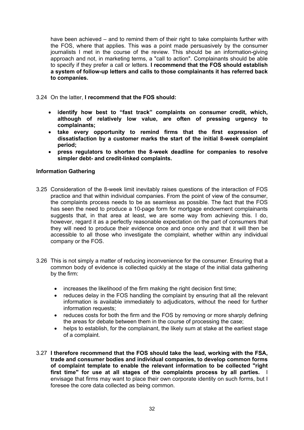have been achieved – and to remind them of their right to take complaints further with the FOS, where that applies. This was a point made persuasively by the consumer journalists I met in the course of the review. This should be an information-giving approach and not, in marketing terms, a "call to action". Complainants should be able to specify if they prefer a call or letters. **I recommend that the FOS should establish a system of follow-up letters and calls to those complainants it has referred back to companies.**

- 3.24 On the latter, **I recommend that the FOS should:**
	- · **identify how best to "fast track" complaints on consumer credit, which, although of relatively low value, are often of pressing urgency to complainants;**
	- · **take every opportunity to remind firms that the first expression of dissatisfaction by a customer marks the start of the initial 8-week complaint period;**
	- · **press regulators to shorten the 8-week deadline for companies to resolve simpler debt- and credit-linked complaints.**

## **Information Gathering**

- 3.25 Consideration of the 8-week limit inevitably raises questions of the interaction of FOS practice and that within individual companies. From the point of view of the consumer, the complaints process needs to be as seamless as possible. The fact that the FOS has seen the need to produce a 10-page form for mortgage endowment complainants suggests that, in that area at least, we are some way from achieving this. I do, however, regard it as a perfectly reasonable expectation on the part of consumers that they will need to produce their evidence once and once only and that it will then be accessible to all those who investigate the complaint, whether within any individual company or the FOS.
- 3.26 This is not simply a matter of reducing inconvenience for the consumer. Ensuring that a common body of evidence is collected quickly at the stage of the initial data gathering by the firm:
	- · increases the likelihood of the firm making the right decision first time;
	- · reduces delay in the FOS handling the complaint by ensuring that all the relevant information is available immediately to adjudicators, without the need for further information requests;
	- · reduces costs for both the firm and the FOS by removing or more sharply defining the areas for debate between them in the course of processing the case;
	- helps to establish, for the complainant, the likely sum at stake at the earliest stage of a complaint.
- 3.27 **I therefore recommend that the FOS should take the lead, working with the FSA, trade and consumer bodies and individual companies, to develop common forms of complaint template to enable the relevant information to be collected "right first time" for use at all stages of the complaints process by all parties.** I envisage that firms may want to place their own corporate identity on such forms, but I foresee the core data collected as being common.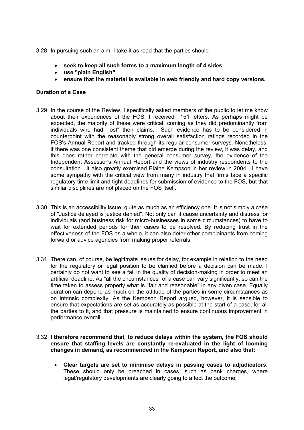3.28 In pursuing such an aim, I take it as read that the parties should

- · **seek to keep all such forms to a maximum length of 4 sides**
- · **use "plain English"**
- · **ensure that the material is available in web friendly and hard copy versions.**

## **Duration of a Case**

- 3.29 In the course of the Review, I specifically asked members of the public to let me know about their experiences of the FOS. I received 151 letters. As perhaps might be expected, the majority of these were critical, coming as they did predominantly from individuals who had "lost" their claims. Such evidence has to be considered in counterpoint with the reasonably strong overall satisfaction ratings recorded in the FOS's Annual Report and tracked through its regular consumer surveys. Nonetheless, if there was one consistent theme that did emerge during the review, it was delay, and this does rather correlate with the general consumer survey, the evidence of the Independent Assessor's Annual Report and the views of industry respondents to the consultation. It also greatly exercised Elaine Kempson in her review in 2004. I have some sympathy with the critical view from many in industry that firms face a specific regulatory time limit and tight deadlines for submission of evidence to the FOS, but that similar disciplines are not placed on the FOS itself.
- 3.30 This is an accessibility issue, quite as much as an efficiency one. It is not simply a case of "Justice delayed is justice denied". Not only can it cause uncertainty and distress for individuals (and business risk for micro-businesses in some circumstances) to have to wait for extended periods for their cases to be resolved. By reducing trust in the effectiveness of the FOS as a whole, it can also deter other complainants from coming forward or advice agencies from making proper referrals.
- 3.31 There can, of course, be legitimate issues for delay, for example in relation to the need for the regulatory or legal position to be clarified before a decision can be made. I certainly do not want to see a fall in the quality of decision-making in order to meet an artificial deadline. As "all the circumstances" of a case can vary significantly, so can the time taken to assess properly what is "fair and reasonable" in any given case. Equally duration can depend as much on the attitude of the parties in some circumstances as on intrinsic complexity. As the Kempson Report argued, however, it is sensible to ensure that expectations are set as accurately as possible at the start of a case, for all the parties to it, and that pressure is maintained to ensure continuous improvement in performance overall.
- 3.32 **I therefore recommend that, to reduce delays within the system, the FOS should ensure that staffing levels are constantly re-evaluated in the light of looming changes in demand, as recommended in the Kempson Report, and also that:**
	- · **Clear targets are set to minimise delays in passing cases to adjudicators**. These should only be breached in cases, such as bank charges, where legal/regulatory developments are clearly going to affect the outcome;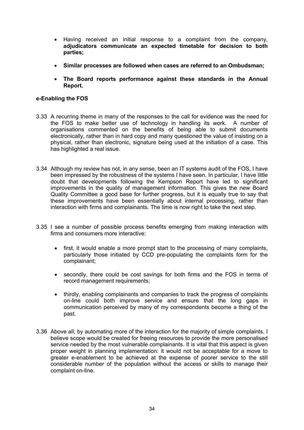- · Having received an initial response to a complaint from the company, **adjudicators communicate an expected timetable for decision to both parties;**
- · **Similar processes are followed when cases are referred to an Ombudsman;**
- · **The Board reports performance against these standards in the Annual Report.**

## **e-Enabling the FOS**

- 3.33 A recurring theme in many of the responses to the call for evidence was the need for the FOS to make better use of technology in handling its work. A number of organisations commented on the benefits of being able to submit documents electronically, rather than in hard copy and many questioned the value of insisting on a physical, rather than electronic, signature being used at the initiation of a case. This has highlighted a real issue.
- 3.34 Although my review has not, in any sense, been an IT systems audit of the FOS, I have been impressed by the robustness of the systems I have seen. In particular, I have little doubt that developments following the Kempson Report have led to significant improvements in the quality of management information. This gives the new Board Quality Committee a good base for further progress, but it is equally true to say that these improvements have been essentially about internal processing, rather than interaction with firms and complainants. The time is now right to take the next step.
- 3.35 I see a number of possible process benefits emerging from making interaction with firms and consumers more interactive:
	- · first, it would enable a more prompt start to the processing of many complaints, particularly those initiated by CCD pre-populating the complaints form for the complainant;
	- · secondly, there could be cost savings for both firms and the FOS in terms of record management requirements;
	- · thirdly, enabling complainants and companies to track the progress of complaints on-line could both improve service and ensure that the long gaps in communication perceived by many of my correspondents become a thing of the past.
- 3.36 Above all, by automating more of the interaction for the majority of simple complaints, I believe scope would be created for freeing resources to provide the more personalised service needed by the most vulnerable complainants. It is vital that this aspect is given proper weight in planning implementation: it would not be acceptable for a move to greater e-enablement to be achieved at the expense of poorer service to the still considerable number of the population without the access or skills to manage their complaint on-line.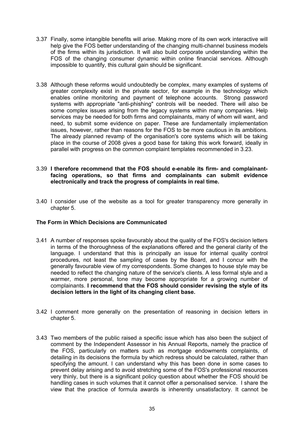- 3.37 Finally, some intangible benefits will arise. Making more of its own work interactive will help give the FOS better understanding of the changing multi-channel business models of the firms within its jurisdiction. It will also build corporate understanding within the FOS of the changing consumer dynamic within online financial services. Although impossible to quantify, this cultural gain should be significant.
- 3.38 Although these reforms would undoubtedly be complex, many examples of systems of greater complexity exist in the private sector, for example in the technology which enables online monitoring and payment of telephone accounts. Strong password systems with appropriate "anti-phishing" controls will be needed. There will also be some complex issues arising from the legacy systems within many companies. Help services may be needed for both firms and complainants, many of whom will want, and need, to submit some evidence on paper. These are fundamentally implementation issues, however, rather than reasons for the FOS to be more cautious in its ambitions. The already planned revamp of the organisation's core systems which will be taking place in the course of 2008 gives a good base for taking this work forward, ideally in parallel with progress on the common complaint templates recommended in 3.23.

#### 3.39 **I therefore recommend that the FOS should e-enable its firm- and complainantfacing operations, so that firms and complainants can submit evidence electronically and track the progress of complaints in real time.**

3.40 I consider use of the website as a tool for greater transparency more generally in chapter 5.

## **The Form in Which Decisions are Communicated**

- 3.41 A number of responses spoke favourably about the quality of the FOS's decision letters in terms of the thoroughness of the explanations offered and the general clarity of the language. I understand that this is principally an issue for internal quality control procedures, not least the sampling of cases by the Board, and I concur with the generally favourable view of my correspondents. Some changes to house style may be needed to reflect the changing nature of the service's clients. A less formal style and a warmer, more personal, tone may become appropriate for a growing number of complainants. **I recommend that the FOS should consider revising the style of its decision letters in the light of its changing client base.**
- 3.42 I comment more generally on the presentation of reasoning in decision letters in chapter 5.
- 3.43 Two members of the public raised a specific issue which has also been the subject of comment by the Independent Assessor in his Annual Reports, namely the practice of the FOS, particularly on matters such as mortgage endowments complaints, of detailing in its decisions the formula by which redress should be calculated, rather than specifying the amount. I can understand why this has been done in some cases to prevent delay arising and to avoid stretching some of the FOS's professional resources very thinly, but there is a significant policy question about whether the FOS should be handling cases in such volumes that it cannot offer a personalised service. I share the view that the practice of formula awards is inherently unsatisfactory. It cannot be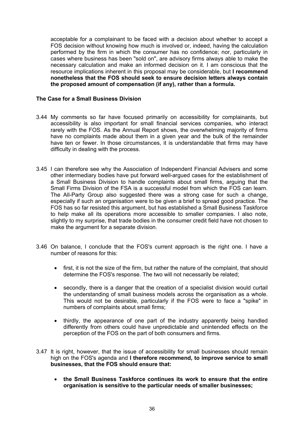acceptable for a complainant to be faced with a decision about whether to accept a FOS decision without knowing how much is involved or, indeed, having the calculation performed by the firm in which the consumer has no confidence; nor, particularly in cases where business has been "sold on", are advisory firms always able to make the necessary calculation and make an informed decision on it. I am conscious that the resource implications inherent in this proposal may be considerable, but **I recommend nonetheless that the FOS should seek to ensure decision letters always contain the proposed amount of compensation (if any), rather than a formula.** 

### **The Case for a Small Business Division**

- 3.44 My comments so far have focused primarily on accessibility for complainants, but accessibility is also important for small financial services companies, who interact rarely with the FOS. As the Annual Report shows, the overwhelming majority of firms have no complaints made about them in a given year and the bulk of the remainder have ten or fewer. In those circumstances, it is understandable that firms may have difficulty in dealing with the process.
- 3.45 I can therefore see why the Association of Independent Financial Advisers and some other intermediary bodies have put forward well-argued cases for the establishment of a Small Business Division to handle complaints about small firms, arguing that the Small Firms Division of the FSA is a successful model from which the FOS can learn. The All-Party Group also suggested there was a strong case for such a change, especially if such an organisation were to be given a brief to spread good practice. The FOS has so far resisted this argument, but has established a Small Business Taskforce to help make all its operations more accessible to smaller companies. I also note, slightly to my surprise, that trade bodies in the consumer credit field have not chosen to make the argument for a separate division.
- 3.46 On balance, I conclude that the FOS's current approach is the right one. I have a number of reasons for this:
	- · first, it is not the size of the firm, but rather the nature of the complaint, that should determine the FOS's response. The two will not necessarily be related;
	- · secondly, there is a danger that the creation of a specialist division would curtail the understanding of small business models across the organisation as a whole. This would not be desirable, particularly if the FOS were to face a "spike" in numbers of complaints about small firms;
	- thirdly, the appearance of one part of the industry apparently being handled differently from others could have unpredictable and unintended effects on the perception of the FOS on the part of both consumers and firms.
- 3.47 It is right, however, that the issue of accessibility for small businesses should remain high on the FOS's agenda and **I therefore recommend, to improve service to small businesses, that the FOS should ensure that:**
	- · **the Small Business Taskforce continues its work to ensure that the entire organisation is sensitive to the particular needs of smaller businesses;**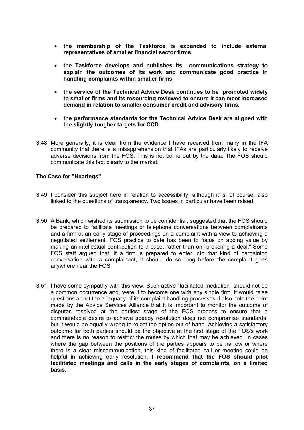- · **the membership of the Taskforce is expanded to include external representatives of smaller financial sector firms;**
- · **the Taskforce develops and publishes its communications strategy to explain the outcomes of its work and communicate good practice in handling complaints within smaller firms**;
- · **the service of the Technical Advice Desk continues to be promoted widely to smaller firms and its resourcing reviewed to ensure it can meet increased demand in relation to smaller consumer credit and advisory firms.**
- · **the performance standards for the Technical Advice Desk are aligned with the slightly tougher targets for CCD.**
- 3.48 More generally, it is clear from the evidence I have received from many in the IFA community that there is a misapprehension that IFAs are particularly likely to receive adverse decisions from the FOS. This is not borne out by the data. The FOS should communicate this fact clearly to the market.

## **The Case for "Hearings"**

- 3.49 I consider this subject here in relation to accessibility, although it is, of course, also linked to the questions of transparency. Two issues in particular have been raised.
- 3.50 A Bank, which wished its submission to be confidential, suggested that the FOS should be prepared to facilitate meetings or telephone conversations between complainants and a firm at an early stage of proceedings on a complaint with a view to achieving a negotiated settlement. FOS practice to date has been to focus on adding value by making an intellectual contribution to a case, rather than on "brokering a deal." Some FOS staff argued that, if a firm is prepared to enter into that kind of bargaining conversation with a complainant, it should do so long before the complaint goes anywhere near the FOS.
- 3.51 I have some sympathy with this view. Such active "facilitated mediation" should not be a common occurrence and, were it to become one with any single firm, it would raise questions about the adequacy of its complaint-handling processes. I also note the point made by the Advice Services Alliance that it is important to monitor the outcome of disputes resolved at the earliest stage of the FOS process to ensure that a commendable desire to achieve speedy resolution does not compromise standards, but it would be equally wrong to reject the option out of hand. Achieving a satisfactory outcome for both parties should be the objective at the first stage of the FOS's work and there is no reason to restrict the routes by which that may be achieved. In cases where the gap between the positions of the parties appears to be narrow or where there is a clear miscommunication, this kind of facilitated call or meeting could be helpful in achieving early resolution. **I recommend that the FOS should pilot facilitated meetings and calls in the early stages of complaints, on a limited basis.**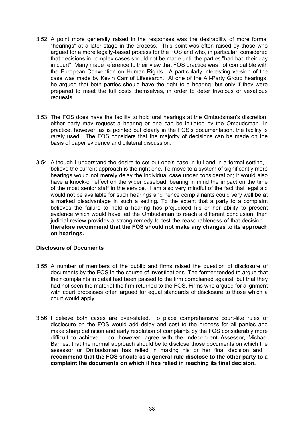- 3.52 A point more generally raised in the responses was the desirability of more formal "hearings" at a later stage in the process. This point was often raised by those who argued for a more legally-based process for the FOS and who, in particular, considered that decisions in complex cases should not be made until the parties "had had their day in court". Many made reference to their view that FOS practice was not compatible with the European Convention on Human Rights. A particularly interesting version of the case was made by Kevin Carr of Lifesearch. At one of the All-Party Group hearings, he argued that both parties should have the right to a hearing, but only if they were prepared to meet the full costs themselves, in order to deter frivolous or vexatious requests.
- 3.53 The FOS does have the facility to hold oral hearings at the Ombudsman's discretion: either party may request a hearing or one can be initiated by the Ombudsman. In practice, however, as is pointed out clearly in the FOS's documentation, the facility is rarely used. The FOS considers that the majority of decisions can be made on the basis of paper evidence and bilateral discussion.
- 3.54 Although I understand the desire to set out one's case in full and in a formal setting, I believe the current approach is the right one. To move to a system of significantly more hearings would not merely delay the individual case under consideration; it would also have a knock-on effect on the wider caseload, bearing in mind the impact on the time of the most senior staff in the service. I am also very mindful of the fact that legal aid would not be available for such hearings and hence complainants could very well be at a marked disadvantage in such a setting. To the extent that a party to a complaint believes the failure to hold a hearing has prejudiced his or her ability to present evidence which would have led the Ombudsman to reach a different conclusion, then judicial review provides a strong remedy to test the reasonableness of that decision. **I therefore recommend that the FOS should not make any changes to its approach on hearings.**

## **Disclosure of Documents**

- 3.55 A number of members of the public and firms raised the question of disclosure of documents by the FOS in the course of investigations. The former tended to argue that their complaints in detail had been passed to the firm complained against, but that they had not seen the material the firm returned to the FOS. Firms who argued for alignment with court processes often argued for equal standards of disclosure to those which a court would apply.
- 3.56 I believe both cases are over-stated. To place comprehensive court-like rules of disclosure on the FOS would add delay and cost to the process for all parties and make sharp definition and early resolution of complaints by the FOS considerably more difficult to achieve. I do, however, agree with the Independent Assessor, Michael Barnes, that the normal approach should be to disclose those documents on which the assessor or Ombudsman has relied in making his or her final decision and **I recommend that the FOS should as a general rule disclose to the other party to a complaint the documents on which it has relied in reaching its final decision.**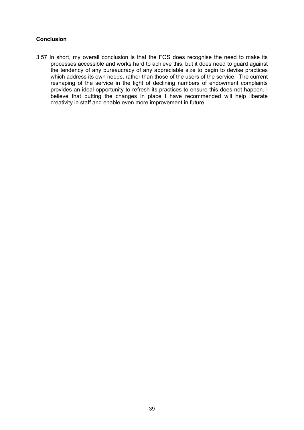## **Conclusion**

3.57 In short, my overall conclusion is that the FOS does recognise the need to make its processes accessible and works hard to achieve this, but it does need to guard against the tendency of any bureaucracy of any appreciable size to begin to devise practices which address its own needs, rather than those of the users of the service. The current reshaping of the service in the light of declining numbers of endowment complaints provides an ideal opportunity to refresh its practices to ensure this does not happen. I believe that putting the changes in place I have recommended will help liberate creativity in staff and enable even more improvement in future.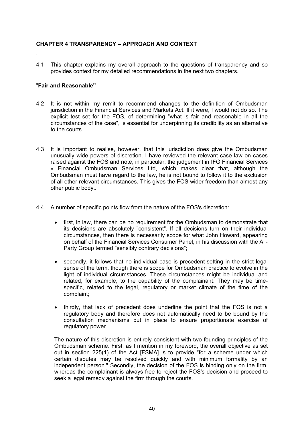# **CHAPTER 4 TRANSPARENCY – APPROACH AND CONTEXT**

4.1 This chapter explains my overall approach to the questions of transparency and so provides context for my detailed recommendations in the next two chapters.

### "**Fair and Reasonable"**

- 4.2 It is not within my remit to recommend changes to the definition of Ombudsman jurisdiction in the Financial Services and Markets Act. If it were, I would not do so. The explicit test set for the FOS, of determining "what is fair and reasonable in all the circumstances of the case", is essential for underpinning its credibility as an alternative to the courts.
- 4.3 It is important to realise, however, that this jurisdiction does give the Ombudsman unusually wide powers of discretion. I have reviewed the relevant case law on cases raised against the FOS and note, in particular, the judgement in IFG Financial Services v Financial Ombudsman Services Ltd, which makes clear that, although the Ombudsman must have regard to the law, he is not bound to follow it to the exclusion of all other relevant circumstances. This gives the FOS wider freedom than almost any other public body..
- 4.4 A number of specific points flow from the nature of the FOS's discretion:
	- · first, in law, there can be no requirement for the Ombudsman to demonstrate that its decisions are absolutely "consistent". If all decisions turn on their individual circumstances, then there is necessarily scope for what John Howard, appearing on behalf of the Financial Services Consumer Panel, in his discussion with the All-Party Group termed "sensibly contrary decisions";
	- · secondly, it follows that no individual case is precedent-setting in the strict legal sense of the term, though there is scope for Ombudsman practice to evolve in the light of individual circumstances. These circumstances might be individual and related, for example, to the capability of the complainant. They may be timespecific, related to the legal, regulatory or market climate of the time of the complaint;
	- thirdly, that lack of precedent does underline the point that the FOS is not a regulatory body and therefore does not automatically need to be bound by the consultation mechanisms put in place to ensure proportionate exercise of regulatory power.

The nature of this discretion is entirely consistent with two founding principles of the Ombudsman scheme. First, as I mention in my foreword, the overall objective as set out in section 225(1) of the Act [FSMA] is to provide "for a scheme under which certain disputes may be resolved quickly and with minimum formality by an independent person." Secondly, the decision of the FOS is binding only on the firm, whereas the complainant is always free to reject the FOS's decision and proceed to seek a legal remedy against the firm through the courts.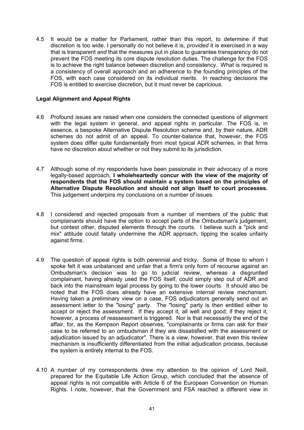4.5 It would be a matter for Parliament, rather than this report, to determine if that discretion is too wide. I personally do not believe it is, *provided* it is exercised in a way that is transparent *and* that the measures put in place to guarantee transparency do not prevent the FOS meeting its core dispute resolution duties. The challenge for the FOS is to achieve the right balance between discretion and consistency. What is required is a consistency of overall approach and an adherence to the founding principles of the FOS, with each case considered on its individual merits. In reaching decisions the FOS is entitled to exercise discretion, but it must never be capricious.

## **Legal Alignment and Appeal Rights**

- 4.6 Profound issues are raised when one considers the connected questions of alignment with the legal system in general, and appeal rights in particular. The FOS is, in essence, a bespoke Alternative Dispute Resolution scheme and, by their nature, ADR schemes do not admit of an appeal. To counter-balance that, however, the FOS system does differ quite fundamentally from most typical ADR schemes, in that firms have no discretion about whether or not they submit to its jurisdiction.
- 4.7 Although some of my respondents have been passionate in their advocacy of a more legally-based approach, **I wholeheartedly concur with the view of the majority of respondents that the FOS should maintain a system based on the principles of Alternative Dispute Resolution and should not align itself to court processes.** This judgement underpins my conclusions on a number of issues.
- 4.8 I considered and rejected proposals from a number of members of the public that complainants should have the option to accept parts of the Ombudsman's judgement, but contest other, disputed elements through the courts. I believe such a "pick and mix" attitude could fatally undermine the ADR approach, tipping the scales unfairly against firms.
- 4.9 The question of appeal rights is both perennial and tricky. Some of those to whom I spoke felt it was unbalanced and unfair that a firm's only form of recourse against an Ombudsman's decision was to go to judicial review, whereas a disgruntled complainant, having already used the FOS itself, could simply step out of ADR and back into the mainstream legal process by going to the lower courts. It should also be noted that the FOS does already have an extensive internal review mechanism. Having taken a preliminary view on a case, FOS adjudicators generally send out an assessment letter to the "losing" party. The "losing" party is then entitled either to accept or reject the assessment. If they accept it, all well and good; if they reject it, however, a process of reassessment is triggered. Nor is that necessarily the end of the affair, for, as the Kempson Report observes, "complainants or firms can ask for their case to be referred to an ombudsman if they are dissatisfied with the assessment or adjudication issued by an adjudicator". There is a view, however, that even this review mechanism is insufficiently differentiated from the initial adjudication process, because the system is entirely internal to the FOS.
- 4.10 A number of my correspondents drew my attention to the opinion of Lord Neill, prepared for the Equitable Life Action Group, which concluded that the absence of appeal rights is not compatible with Article 6 of the European Convention on Human Rights. I note, however, that the Government and FSA reached a different view in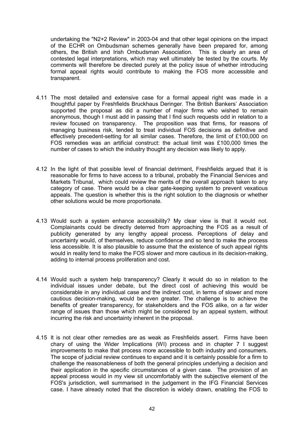undertaking the "N2+2 Review" in 2003-04 and that other legal opinions on the impact of the ECHR on Ombudsman schemes generally have been prepared for, among others, the British and Irish Ombudsman Association. This is clearly an area of contested legal interpretations, which may well ultimately be tested by the courts. My comments will therefore be directed purely at the policy issue of whether introducing formal appeal rights would contribute to making the FOS more accessible and transparent.

- 4.11 The most detailed and extensive case for a formal appeal right was made in a thoughtful paper by Freshfields Bruckhaus Deringer. The British Bankers' Association supported the proposal as did a number of major firms who wished to remain anonymous, though I must add in passing that I find such requests odd in relation to a review focused on transparency. The proposition was that firms, for reasons of managing business risk, tended to treat individual FOS decisions as definitive and effectively precedent-setting for all similar cases. Therefore, the limit of £100,000 on FOS remedies was an artificial construct: the actual limit was £100,000 times the number of cases to which the industry thought any decision was likely to apply.
- 4.12 In the light of that possible level of financial detriment, Freshfields argued that it is reasonable for firms to have access to a tribunal, probably the Financial Services and Markets Tribunal, which could review the merits of the overall approach taken to any category of case. There would be a clear gate-keeping system to prevent vexatious appeals. The question is whether this is the right solution to the diagnosis or whether other solutions would be more proportionate.
- 4.13 Would such a system enhance accessibility? My clear view is that it would not. Complainants could be directly deterred from approaching the FOS as a result of publicity generated by any lengthy appeal process. Perceptions of delay and uncertainty would, of themselves, reduce confidence and so tend to make the process less accessible. It is also plausible to assume that the existence of such appeal rights would in reality tend to make the FOS slower and more cautious in its decision-making, adding to internal process proliferation and cost.
- 4.14 Would such a system help transparency? Clearly it would do so in relation to the individual issues under debate, but the direct cost of achieving this would be considerable in any individual case and the indirect cost, in terms of slower and more cautious decision-making, would be even greater. The challenge is to achieve the benefits of greater transparency, for stakeholders and the FOS alike, on a far wider range of issues than those which might be considered by an appeal system, without incurring the risk and uncertainty inherent in the proposal.
- 4.15 It is not clear other remedies are as weak as Freshfields assert. Firms have been chary of using the Wider Implications (WI) process and in chapter 7 I suggest improvements to make that process more accessible to both industry and consumers. The scope of judicial review continues to expand and it is certainly possible for a firm to challenge the reasonableness of both the general principles underlying a decision and their application in the specific circumstances of a given case. The provision of an appeal process would in my view sit uncomfortably with the subjective element of the FOS's jurisdiction, well summarised in the judgement in the IFG Financial Services case. I have already noted that the discretion is widely drawn, enabling the FOS to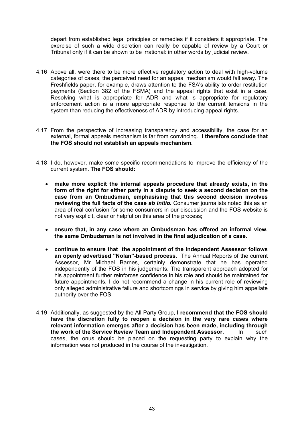depart from established legal principles or remedies if it considers it appropriate. The exercise of such a wide discretion can really be capable of review by a Court or Tribunal only if it can be shown to be irrational: in other words by judicial review.

- 4.16 Above all, were there to be more effective regulatory action to deal with high-volume categories of cases, the perceived need for an appeal mechanism would fall away. The Freshfields paper, for example, draws attention to the FSA's ability to order restitution payments (Section 382 of the FSMA) and the appeal rights that exist in a case. Resolving what is appropriate for ADR and what is appropriate for regulatory enforcement action is a more appropriate response to the current tensions in the system than reducing the effectiveness of ADR by introducing appeal rights.
- 4.17 From the perspective of increasing transparency and accessibility, the case for an external, formal appeals mechanism is far from convincing. **I therefore conclude that the FOS should not establish an appeals mechanism.**
- 4.18 I do, however, make some specific recommendations to improve the efficiency of the current system. **The FOS should:**
	- · **make more explicit the internal appeals procedure that already exists, in the form of the right for either party in a dispute to seek a second decision on the case from an Ombudsman, emphasising that this second decision involves reviewing the full facts of the case** *ab initio***.** Consumer journalists noted this as an area of real confusion for some consumers in our discussion and the FOS website is not very explicit, clear or helpful on this area of the process**;**
	- · **ensure that, in any case where an Ombudsman has offered an informal view, the same Ombudsman is not involved in the final adjudication of a case.**
	- · **continue to ensure that the appointment of the Independent Assessor follows an openly advertised "Nolan"-based process**. The Annual Reports of the current Assessor, Mr Michael Barnes, certainly demonstrate that he has operated independently of the FOS in his judgements. The transparent approach adopted for his appointment further reinforces confidence in his role and should be maintained for future appointments. I do not recommend a change in his current role of reviewing only alleged administrative failure and shortcomings in service by giving him appellate authority over the FOS.
- 4.19 Additionally, as suggested by the All-Party Group, **I recommend that the FOS should have the discretion fully to reopen a decision in the very rare cases where relevant information emerges after a decision has been made, including through the work of the Service Review Team and Independent Assessor.** In such cases, the onus should be placed on the requesting party to explain why the information was not produced in the course of the investigation.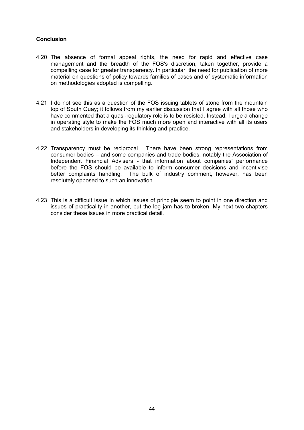## **Conclusion**

- 4.20 The absence of formal appeal rights, the need for rapid and effective case management and the breadth of the FOS's discretion, taken together, provide a compelling case for greater transparency. In particular, the need for publication of more material on questions of policy towards families of cases and of systematic information on methodologies adopted is compelling.
- 4.21 I do not see this as a question of the FOS issuing tablets of stone from the mountain top of South Quay; it follows from my earlier discussion that I agree with all those who have commented that a quasi-regulatory role is to be resisted. Instead, I urge a change in operating style to make the FOS much more open and interactive with all its users and stakeholders in developing its thinking and practice.
- 4.22 Transparency must be reciprocal. There have been strong representations from consumer bodies – and some companies and trade bodies, notably the Association of Independent Financial Advisers - that information about companies' performance before the FOS should be available to inform consumer decisions and incentivise better complaints handling. The bulk of industry comment, however, has been resolutely opposed to such an innovation.
- 4.23 This is a difficult issue in which issues of principle seem to point in one direction and issues of practicality in another, but the log jam has to broken. My next two chapters consider these issues in more practical detail.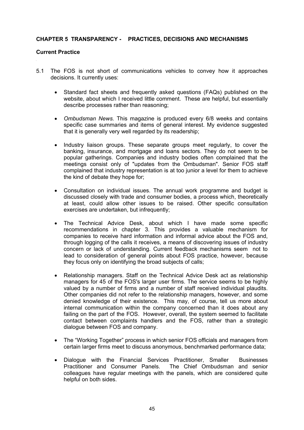### **CHAPTER 5 TRANSPARENCY - PRACTICES, DECISIONS AND MECHANISMS**

#### **Current Practice**

- 5.1 The FOS is not short of communications vehicles to convey how it approaches decisions. It currently uses:
	- · Standard fact sheets and frequently asked questions (FAQs) published on the website, about which I received little comment. These are helpful, but essentially describe processes rather than reasoning;
	- · *Ombudsman News.* This magazine is produced every 6/8 weeks and contains specific case summaries and items of general interest. My evidence suggested that it is generally very well regarded by its readership;
	- · Industry liaison groups. These separate groups meet regularly, to cover the banking, insurance, and mortgage and loans sectors. They do not seem to be popular gatherings. Companies and industry bodies often complained that the meetings consist only of "updates from the Ombudsman". Senior FOS staff complained that industry representation is at too junior a level for them to achieve the kind of debate they hope for;
	- · Consultation on individual issues. The annual work programme and budget is discussed closely with trade and consumer bodies, a process which, theoretically at least, could allow other issues to be raised. Other specific consultation exercises are undertaken, but infrequently;
	- · The Technical Advice Desk, about which I have made some specific recommendations in chapter 3. This provides a valuable mechanism for companies to receive hard information and informal advice about the FOS and, through logging of the calls it receives, a means of discovering issues of industry concern or lack of understanding. Current feedback mechanisms seem not to lead to consideration of general points about FOS practice, however, because they focus only on identifying the broad subjects of calls;
	- · Relationship managers. Staff on the Technical Advice Desk act as relationship managers for 45 of the FOS's larger user firms. The service seems to be highly valued by a number of firms and a number of staff received individual plaudits. Other companies did not refer to the relationship managers, however, and some denied knowledge of their existence. This may, of course, tell us more about internal communication within the company concerned than it does about any failing on the part of the FOS. However, overall, the system seemed to facilitate contact between complaints handlers and the FOS, rather than a strategic dialogue between FOS and company.
	- · The "Working Together" process in which senior FOS officials and managers from certain larger firms meet to discuss anonymous, benchmarked performance data;
	- Dialogue with the Financial Services Practitioner, Smaller Businesses Practitioner and Consumer Panels. The Chief Ombudsman and senior colleagues have regular meetings with the panels, which are considered quite helpful on both sides.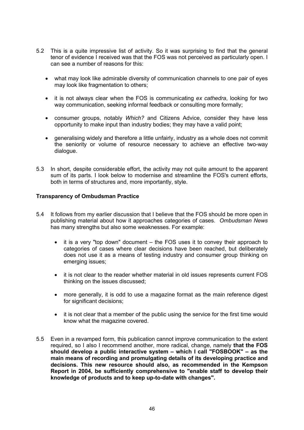- 5.2 This is a quite impressive list of activity. So it was surprising to find that the general tenor of evidence I received was that the FOS was not perceived as particularly open. I can see a number of reasons for this:
	- · what may look like admirable diversity of communication channels to one pair of eyes may look like fragmentation to others;
	- · it is not always clear when the FOS is communicating *ex cathedra*, looking for two way communication, seeking informal feedback or consulting more formally;
	- · consumer groups, notably *Which?* and Citizens Advice, consider they have less opportunity to make input than industry bodies; they may have a valid point;
	- · generalising widely and therefore a little unfairly, industry as a whole does not commit the seniority or volume of resource necessary to achieve an effective two-way dialogue.
- 5.3 In short, despite considerable effort, the activity may not quite amount to the apparent sum of its parts. I look below to modernise and streamline the FOS's current efforts, both in terms of structures and, more importantly, style.

## **Transparency of Ombudsman Practice**

- 5.4 It follows from my earlier discussion that I believe that the FOS should be more open in publishing material about how it approaches categories of cases. *Ombudsman News* has many strengths but also some weaknesses. For example:
	- it is a very "top down" document the FOS uses it to convey their approach to categories of cases where clear decisions have been reached, but deliberately does not use it as a means of testing industry and consumer group thinking on emerging issues;
	- · it is not clear to the reader whether material in old issues represents current FOS thinking on the issues discussed;
	- · more generally, it is odd to use a magazine format as the main reference digest for significant decisions:
	- it is not clear that a member of the public using the service for the first time would know what the magazine covered.
- 5.5 Even in a revamped form, this publication cannot improve communication to the extent required, so I also I recommend another, more radical, change, namely **that the FOS should develop a public interactive system – which I call "FOSBOOK" – as the main means of recording and promulgating details of its developing practice and decisions. This new resource should also, as recommended in the Kempson Report in 2004, be sufficiently comprehensive to "enable staff to develop their knowledge of products and to keep up-to-date with changes".**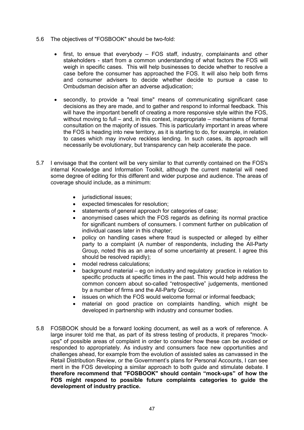- 5.6 The objectives of "FOSBOOK" should be two-fold:
	- · first, to ensue that everybody FOS staff, industry, complainants and other stakeholders - start from a common understanding of what factors the FOS will weigh in specific cases. This will help businesses to decide whether to resolve a case before the consumer has approached the FOS. It will also help both firms and consumer advisers to decide whether decide to pursue a case to Ombudsman decision after an adverse adjudication;
	- · secondly, to provide a "real time" means of communicating significant case decisions as they are made, and to gather and respond to informal feedback. This will have the important benefit of creating a more responsive style within the FOS, without moving to full – and, in this context, inappropriate – mechanisms of formal consultation on the majority of issues. This is particularly important in areas where the FOS is heading into new territory, as it is starting to do, for example, in relation to cases which may involve reckless lending. In such cases, its approach will necessarily be evolutionary, but transparency can help accelerate the pace.
- 5.7 I envisage that the content will be very similar to that currently contained on the FOS's internal Knowledge and Information Toolkit, although the current material will need some degree of editing for this different and wider purpose and audience. The areas of coverage should include, as a minimum:
	- jurisdictional issues;
	- · expected timescales for resolution;
	- statements of general approach for categories of case;
	- anonymised cases which the FOS regards as defining its normal practice for significant numbers of consumers. I comment further on publication of individual cases later in this chapter;
	- policy on handling cases where fraud is suspected or alleged by either party to a complaint (A number of respondents, including the All-Party Group, noted this as an area of some uncertainty at present. I agree this should be resolved rapidly);
	- model redress calculations:
	- background material eg on industry and regulatory practice in relation to specific products at specific times in the past. This would help address the common concern about so-called "retrospective" judgements, mentioned by a number of firms and the All-Party Group;
	- issues on which the FOS would welcome formal or informal feedback;
	- material on good practice on complaints handling, which might be developed in partnership with industry and consumer bodies.
- 5.8 FOSBOOK should be a forward looking document, as well as a work of reference. A large insurer told me that, as part of its stress testing of products, it prepares "mockups" of possible areas of complaint in order to consider how these can be avoided or responded to appropriately. As industry and consumers face new opportunities and challenges ahead, for example from the evolution of assisted sales as canvassed in the Retail Distribution Review, or the Government's plans for Personal Accounts, I can see merit in the FOS developing a similar approach to both guide and stimulate debate. **I therefore recommend that "FOSBOOK" should contain "mock-ups" of how the FOS might respond to possible future complaints categories to guide the development of industry practice.**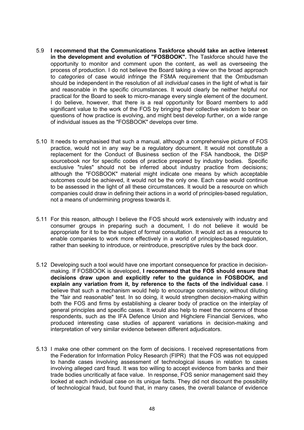- 5.9 **I recommend that the Communications Taskforce should take an active interest in the development and evolution of "FOSBOOK".** The Taskforce should have the opportunity to monitor and comment upon the content, as well as overseeing the process of production. I do not believe the Board taking a view on the broad approach to *categories* of case would infringe the FSMA requirement that the Ombudsman should be independent in the resolution of all *individual* cases in the light of what is fair and reasonable in the specific circumstances. It would clearly be neither helpful nor practical for the Board to seek to micro-manage every single element of the document. I do believe, however, that there is a real opportunity for Board members to add significant value to the work of the FOS by bringing their collective wisdom to bear on questions of how practice is evolving, and might best develop further, on a wide range of individual issues as the "FOSBOOK" develops over time.
- 5.10 It needs to emphasised that such a manual, although a comprehensive picture of FOS practice, would not in any way be a regulatory document. It would not constitute a replacement for the Conduct of Business section of the FSA handbook, the DISP sourcebook nor for specific codes of practice prepared by industry bodies. Specific exclusive "rules" should not be inferred about industry practice from decisions; although the "FOSBOOK" material might indicate one means by which acceptable outcomes could be achieved, it would not be the only one. Each case would continue to be assessed in the light of all these circumstances. It would be a resource on which companies could draw in defining their actions in a world of principles-based regulation, not a means of undermining progress towards it.
- 5.11 For this reason, although I believe the FOS should work extensively with industry and consumer groups in preparing such a document, I do not believe it would be appropriate for it to be the subject of formal consultation. It would act as a resource to enable companies to work more effectively in a world of principles-based regulation, rather than seeking to introduce, or reintroduce, prescriptive rules by the back door.
- 5.12 Developing such a tool would have one important consequence for practice in decisionmaking. If FOSBOOK is developed, **I recommend that the FOS should ensure that decisions draw upon and explicitly refer to the guidance in FOSBOOK, and explain any variation from it, by reference to the facts of the individual case**. I believe that such a mechanism would help to encourage consistency, without diluting the "fair and reasonable" test. In so doing, it would strengthen decision-making within both the FOS and firms by establishing a clearer body of practice on the interplay of general principles and specific cases. It would also help to meet the concerns of those respondents, such as the IFA Defence Union and Highclere Financial Services, who produced interesting case studies of apparent variations in decision-making and interpretation of very similar evidence between different adjudicators.
- 5.13 I make one other comment on the form of decisions. I received representations from the Federation for Information Policy Research (FIPR) that the FOS was not equipped to handle cases involving assessment of technological issues in relation to cases involving alleged card fraud. It was too willing to accept evidence from banks and their trade bodies uncritically at face value. In response, FOS senior management said they looked at each individual case on its unique facts. They did not discount the possibility of technological fraud, but found that, in many cases, the overall balance of evidence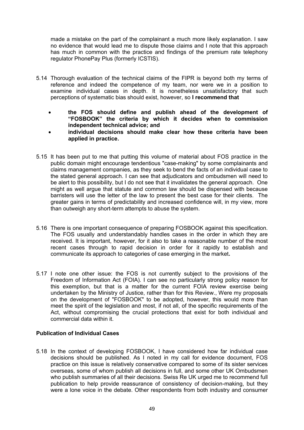made a mistake on the part of the complainant a much more likely explanation. I saw no evidence that would lead me to dispute those claims and I note that this approach has much in common with the practice and findings of the premium rate telephony regulator PhonePay Plus (formerly ICSTIS).

- 5.14 Thorough evaluation of the technical claims of the FIPR is beyond both my terms of reference and indeed the competence of my team, nor were we in a position to examine individual cases in depth. It is nonetheless unsatisfactory that such perceptions of systematic bias should exist, however, so **I recommend that**
	- · **the FOS should define and publish ahead of the development of "FOSBOOK" the criteria by which it decides when to commission independent technical advice; and**
	- · **individual decisions should make clear how these criteria have been applied in practice.**
- 5.15 It has been put to me that putting this volume of material about FOS practice in the public domain might encourage tendentious "case-making" by some complainants and claims management companies, as they seek to bend the facts of an individual case to the stated general approach. I can see that adjudicators and ombudsmen will need to be alert to this possibility, but I do not see that it invalidates the general approach. One might as well argue that statute and common law should be dispensed with because barristers will use the letter of the law to present the best case for their clients. The greater gains in terms of predictability and increased confidence will, in my view, more than outweigh any short-term attempts to abuse the system.
- 5.16 There is one important consequence of preparing FOSBOOK against this specification. The FOS usually and understandably handles cases in the order in which they are received. It is important, however, for it also to take a reasonable number of the most recent cases through to rapid decision in order for it rapidly to establish and communicate its approach to categories of case emerging in the market**.**
- 5.17 I note one other issue: the FOS is not currently subject to the provisions of the Freedom of Information Act (FOIA). I can see no particularly strong policy reason for this exemption, but that is a matter for the current FOIA review exercise being undertaken by the Ministry of Justice, rather than for this Review., Were my proposals on the development of "FOSBOOK" to be adopted, however, this would more than meet the spirit of the legislation and most, if not all, of the specific requirements of the Act, without compromising the crucial protections that exist for both individual and commercial data within it.

## **Publication of Individual Cases**

5.18 In the context of developing FOSBOOK, I have considered how far individual case decisions should be published. As I noted in my call for evidence document, FOS practice on this issue is relatively conservative compared to some of its sister services overseas, some of whom publish all decisions in full, and some other UK Ombudsmen who publish summaries of all their decisions. Swiss Re UK urged me to recommend full publication to help provide reassurance of consistency of decision-making, but they were a lone voice in the debate. Other respondents from both industry and consumer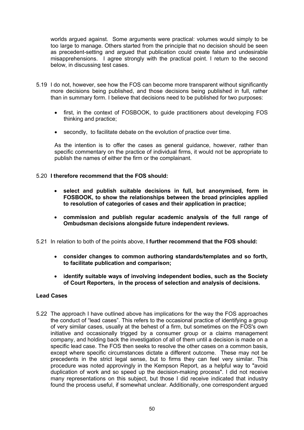worlds argued against. Some arguments were practical: volumes would simply to be too large to manage. Others started from the principle that no decision should be seen as precedent-setting and argued that publication could create false and undesirable misapprehensions. I agree strongly with the practical point. I return to the second below, in discussing test cases.

- 5.19 I do not, however, see how the FOS can become more transparent without significantly more decisions being published, and those decisions being published in full, rather than in summary form. I believe that decisions need to be published for two purposes:
	- first, in the context of FOSBOOK, to guide practitioners about developing FOS thinking and practice;
	- · secondly, to facilitate debate on the evolution of practice over time.

As the intention is to offer the cases as general guidance, however, rather than specific commentary on the practice of individual firms, it would not be appropriate to publish the names of either the firm or the complainant.

# 5.20 **I therefore recommend that the FOS should:**

- · **select and publish suitable decisions in full, but anonymised, form in FOSBOOK, to show the relationships between the broad principles applied to resolution of categories of cases and their application in practice;**
- · **commission and publish regular academic analysis of the full range of Ombudsman decisions alongside future independent reviews.**
- 5.21 In relation to both of the points above, **I further recommend that the FOS should:**
	- · **consider changes to common authoring standards/templates and so forth, to facilitate publication and comparison;**
	- · **identify suitable ways of involving independent bodies, such as the Society of Court Reporters, in the process of selection and analysis of decisions.**

# **Lead Cases**

5.22 The approach I have outlined above has implications for the way the FOS approaches the conduct of "lead cases". This refers to the occasional practice of identifying a group of very similar cases, usually at the behest of a firm, but sometimes on the FOS's own initiative and occasionally trigged by a consumer group or a claims management company, and holding back the investigation of all of them until a decision is made on a specific lead case. The FOS then seeks to resolve the other cases on a common basis, except where specific circumstances dictate a different outcome. These may not be precedents in the strict legal sense, but to firms they can feel very similar. This procedure was noted approvingly in the Kempson Report, as a helpful way to "avoid duplication of work and so speed up the decision-making process". I did not receive many representations on this subject, but those I did receive indicated that industry found the process useful, if somewhat unclear. Additionally, one correspondent argued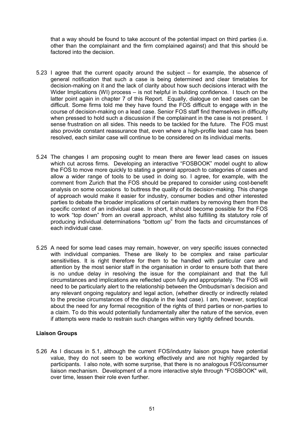that a way should be found to take account of the potential impact on third parties (i.e. other than the complainant and the firm complained against) and that this should be factored into the decision.

- 5.23 I agree that the current opacity around the subject for example, the absence of general notification that such a case is being determined and clear timetables for decision-making on it and the lack of clarity about how such decisions interact with the Wider Implications (WI) process – is not helpful in building confidence. I touch on the latter point again in chapter 7 of this Report. Equally, dialogue on lead cases can be difficult. Some firms told me they have found the FOS difficult to engage with in the course of decision-making on a lead case. Senior FOS staff find themselves in difficulty when pressed to hold such a discussion if the complainant in the case is not present. I sense frustration on all sides. This needs to be tackled for the future. The FOS must also provide constant reassurance that, even where a high-profile lead case has been resolved, each similar case will continue to be considered on its individual merits.
- 5.24 The changes I am proposing ought to mean there are fewer lead cases on issues which cut across firms. Developing an interactive "FOSBOOK" model ought to allow the FOS to move more quickly to stating a general approach to categories of cases and allow a wider range of tools to be used in doing so. I agree, for example, with the comment from Zurich that the FOS should be prepared to consider using cost-benefit analysis on some occasions to buttress the quality of its decision-making. This change of approach would make it easier for industry, consumer bodies and other interested parties to debate the broader implications of certain matters by removing them from the specific context of an individual case. In short, it should become possible for the FOS to work "top down" from an overall approach, whilst also fulfilling its statutory role of producing individual determinations "bottom up" from the facts and circumstances of each individual case.
- 5.25 A need for some lead cases may remain, however, on very specific issues connected with individual companies. These are likely to be complex and raise particular sensitivities. It is right therefore for them to be handled with particular care and attention by the most senior staff in the organisation in order to ensure both that there is no undue delay in resolving the issue for the complainant and that the full circumstances and implications are reflected upon fully and appropriately. The FOS will need to be particularly alert to the relationship between the Ombudsman's decision and any relevant ongoing regulatory and legal action, (whether directly or indirectly related to the precise circumstances of the dispute in the lead case). I am, however, sceptical about the need for any formal recognition of the rights of third parties or non-parties to a claim. To do this would potentially fundamentally alter the nature of the service, even if attempts were made to restrain such changes within very tightly defined bounds.

# **Liaison Groups**

5.26 As I discuss in 5.1, although the current FOS/industry liaison groups have potential value, they do not seem to be working effectively and are not highly regarded by participants. I also note, with some surprise, that there is no analogous FOS/consumer liaison mechanism. Development of a more interactive style through "FOSBOOK" will, over time, lessen their role even further.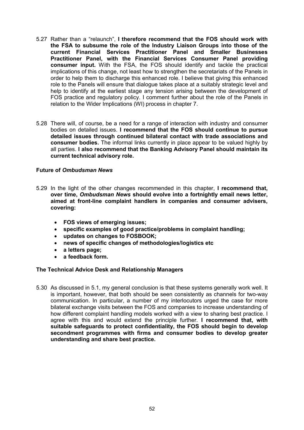- 5.27 Rather than a "relaunch", **I therefore recommend that the FOS should work with the FSA to subsume the role of the Industry Liaison Groups into those of the current Financial Services Practitioner Panel and Smaller Businesses Practitioner Panel, with the Financial Services Consumer Panel providing consumer input.** With the FSA, the FOS should identify and tackle the practical implications of this change, not least how to strengthen the secretariats of the Panels in order to help them to discharge this enhanced role. I believe that giving this enhanced role to the Panels will ensure that dialogue takes place at a suitably strategic level and help to identify at the earliest stage any tension arising between the development of FOS practice and regulatory policy. I comment further about the role of the Panels in relation to the Wider Implications (WI) process in chapter 7.
- 5.28 There will, of course, be a need for a range of interaction with industry and consumer bodies on detailed issues. **I recommend that the FOS should continue to pursue detailed issues through continued bilateral contact with trade associations and consumer bodies.** The informal links currently in place appear to be valued highly by all parties. **I also recommend that the Banking Advisory Panel should maintain its current technical advisory role.**

## **Future of** *Ombudsman News*

- 5.29 In the light of the other changes recommended in this chapter, **I recommend that, over time,** *Ombudsman News* **should evolve into a fortnightly email news letter, aimed at front-line complaint handlers in companies and consumer advisers, covering:**
	- · **FOS views of emerging issues;**
	- · **specific examples of good practice/problems in complaint handling;**
	- · **updates on changes to FOSBOOK;**
	- · **news of specific changes of methodologies/logistics etc**
	- · **a letters page;**
	- · **a feedback form.**

## **The Technical Advice Desk and Relationship Managers**

5.30 As discussed in 5.1, my general conclusion is that these systems generally work well. It is important, however, that both should be seen consistently as channels for two-way communication. In particular, a number of my interlocutors urged the case for more bilateral exchange visits between the FOS and companies to increase understanding of how different complaint handling models worked with a view to sharing best practice. I agree with this and would extend the principle further. **I recommend that, with suitable safeguards to protect confidentiality, the FOS should begin to develop secondment programmes with firms and consumer bodies to develop greater understanding and share best practice.**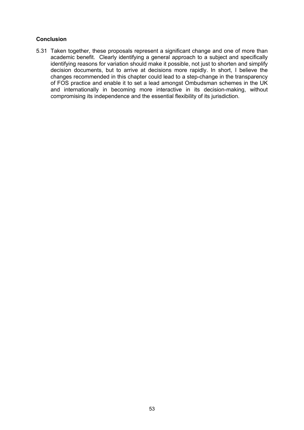## **Conclusion**

5.31 Taken together, these proposals represent a significant change and one of more than academic benefit. Clearly identifying a general approach to a subject and specifically identifying reasons for variation should make it possible, not just to shorten and simplify decision documents, but to arrive at decisions more rapidly. In short, I believe the changes recommended in this chapter could lead to a step-change in the transparency of FOS practice and enable it to set a lead amongst Ombudsman schemes in the UK and internationally in becoming more interactive in its decision-making, without compromising its independence and the essential flexibility of its jurisdiction.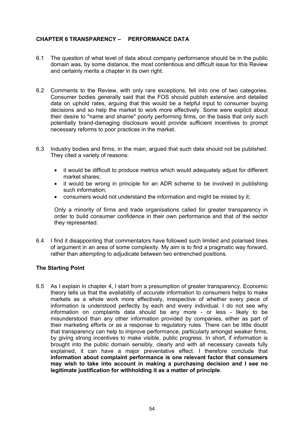# **CHAPTER 6 TRANSPARENCY – PERFORMANCE DATA**

- 6.1 The question of what level of data about company performance should be in the public domain was, by some distance, the most contentious and difficult issue for this Review and certainly merits a chapter in its own right.
- 6.2 Comments to the Review, with only rare exceptions, fell into one of two categories. Consumer bodies generally said that the FOS should publish extensive and detailed data on uphold rates, arguing that this would be a helpful input to consumer buying decisions and so help the market to work more effectively. Some were explicit about their desire to "name and shame" poorly performing firms, on the basis that only such potentially brand-damaging disclosure would provide sufficient incentives to prompt necessary reforms to poor practices in the market.
- 6.3 Industry bodies and firms, in the main, argued that such data should not be published. They cited a variety of reasons:
	- · it would be difficult to produce metrics which would adequately adjust for different market shares;
	- it would be wrong in principle for an ADR scheme to be involved in publishing such information;
	- · consumers would not understand the information and might be misled by it;

Only a minority of firms and trade organisations called for greater transparency in order to build consumer confidence in their own performance and that of the sector they represented.

6.4 I find it disappointing that commentators have followed such limited and polarised lines of argument in an area of some complexity. My aim is to find a pragmatic way forward, rather than attempting to adjudicate between two entrenched positions.

## **The Starting Point**

6.5 As I explain in chapter 4, I start from a presumption of greater transparency. Economic theory tells us that the availability of *accurate* information to consumers helps to make markets as a whole work more effectively, irrespective of whether every piece of information is understood perfectly by each and every individual. I do not see why information on complaints data should be any more - or less - likely to be misunderstood than any other information provided by companies, either as part of their marketing efforts or as a response to regulatory rules. There can be little doubt that transparency can help to improve performance, particularly amongst weaker firms, by giving strong incentives to make visible, public progress. In short, if information is brought into the public domain sensibly, clearly and with all necessary caveats fully explained, it can have a major preventative effect. I therefore conclude that **information about complaint performance is one relevant factor that consumers may wish to take into account in making a purchasing decision and I see no legitimate justification for withholding it as a matter of principle**.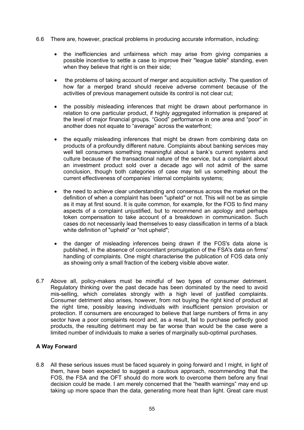- 6.6 There are, however, practical problems in producing accurate information, including:
	- the inefficiencies and unfairness which may arise from giving companies a possible incentive to settle a case to improve their "league table" standing, even when they believe that right is on their side;
	- · the problems of taking account of merger and acquisition activity. The question of how far a merged brand should receive adverse comment because of the activities of previous management outside its control is not clear cut;
	- · the possibly misleading inferences that might be drawn about performance in relation to one particular product, if highly aggregated information is prepared at the level of major financial groups. "Good" performance in one area and "poor" in another does not equate to "average" across the waterfront;
	- the equally misleading inferences that might be drawn from combining data on products of a profoundly different nature. Complaints about banking services may well tell consumers something meaningful about a bank's current systems and culture because of the transactional nature of the service, but a complaint about an investment product sold over a decade ago will not admit of the same conclusion, though both categories of case may tell us something about the current effectiveness of companies' internal complaints systems;
	- · the need to achieve clear understanding and consensus across the market on the definition of when a complaint has been "upheld" or not. This will not be as simple as it may at first sound. It is quite common, for example, for the FOS to find many aspects of a complaint unjustified, but to recommend an apology and perhaps token compensation to take account of a breakdown in communication. Such cases do not necessarily lead themselves to easy classification in terms of a black white definition of "upheld" or "not upheld";
	- the danger of misleading inferences being drawn if the FOS's data alone is published, in the absence of concomitant promulgation of the FSA's data on firms' handling of complaints. One might characterise the publication of FOS data only as showing only a small fraction of the iceberg visible above water.
- 6.7 Above all, policy-makers must be mindful of two types of consumer detriment. Regulatory thinking over the past decade has been dominated by the need to avoid mis-selling, which correlates strongly with a high level of justified complaints. Consumer detriment also arises, however, from not buying the right kind of product at the right time, possibly leaving individuals with insufficient pension provision or protection. If consumers are encouraged to believe that large numbers of firms in any sector have a poor complaints record and, as a result, fail to purchase perfectly good products, the resulting detriment may be far worse than would be the case were a limited number of individuals to make a series of marginally sub-optimal purchases.

# **A Way Forward**

6.8 All these serious issues must be faced squarely in going forward and I might, in light of them, have been expected to suggest a cautious approach, recommending that the FOS, the FSA and the OFT should do more work to overcome them before any final decision could be made. I am merely concerned that the "health warnings" may end up taking up more space than the data, generating more heat than light. Great care must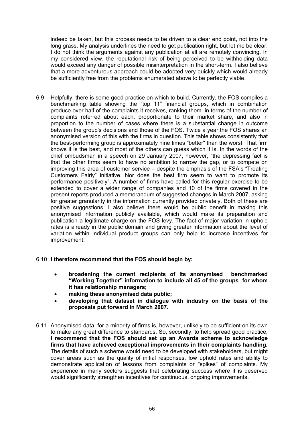indeed be taken, but this process needs to be driven to a clear end point, not into the long grass. My analysis underlines the need to get publication right, but let me be clear: I do not think the arguments against any publication at all are remotely convincing. In my considered view, the reputational risk of being perceived to be withholding data would exceed any danger of possible misinterpretation in the short-term. I also believe that a more adventurous approach could be adopted very quickly which would already be sufficiently free from the problems enumerated above to be perfectly viable.

6.9 Helpfully, there is some good practice on which to build. Currently, the FOS compiles a benchmarking table showing the "top 11" financial groups, which in combination produce over half of the complaints it receives, ranking them in terms of the number of complaints referred about each, proportionate to their market share, and also in proportion to the number of cases where there is a substantial change in outcome between the group's decisions and those of the FOS. Twice a year the FOS shares an anonymised version of this with the firms in question. This table shows consistently that the best-performing group is approximately nine times "better" than the worst. That firm knows it is the best, and most of the others can guess which it is. In the words of the chief ombudsman in a speech on 29 January 2007, however, "the depressing fact is that the other firms seem to have no ambition to narrow the gap, or to compete on improving this area of customer service – despite the emphasis of the FSA's "Treating Customers Fairly" initiative. Nor does the best firm seem to want to promote its performance positively". A number of firms have called for this regular exercise to be extended to cover a wider range of companies and 10 of the firms covered in the present reports produced a memorandum of suggested changes in March 2007, asking for greater granularity in the information currently provided privately. Both of these are positive suggestions. I also believe there would be public benefit in making this anonymised information publicly available, which would make its preparation and publication a legitimate charge on the FOS levy. The fact of major variation in uphold rates is already in the public domain and giving greater information about the level of variation within individual product groups can only help to increase incentives for improvement.

## 6.10 **I therefore recommend that the FOS should begin by:**

- · **broadening the current recipients of its anonymised benchmarked "Working Together" information to include all 45 of the groups for whom it has relationship managers;**
- · **making these anonymised data public;**
- · **developing that dataset in dialogue with industry on the basis of the proposals put forward in March 2007.**
- 6.11 Anonymised data, for a minority of firms is, however, unlikely to be sufficient on its own to make any great difference to standards. So, secondly, to help spread good practice, **I recommend that the FOS should set up an Awards scheme to acknowledge firms that have achieved exceptional improvements in their complaints handling.** The details of such a scheme would need to be developed with stakeholders, but might cover areas such as the quality of initial responses, low uphold rates and ability to demonstrate application of lessons from complaints or "spikes" of complaints. My experience in many sectors suggests that celebrating success where it is deserved would significantly strengthen incentives for continuous, ongoing improvements.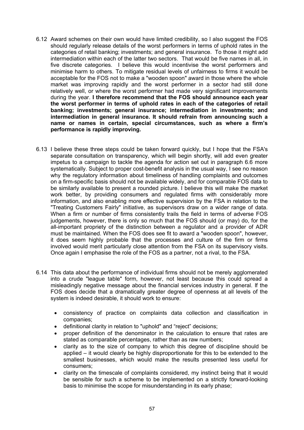- 6.12 Award schemes on their own would have limited credibility, so I also suggest the FOS should regularly release details of the worst performers in terms of uphold rates in the categories of retail banking; investments; and general insurance. To those it might add intermediation within each of the latter two sectors. That would be five names in all, in five discrete categories. I believe this would incentivise the worst performers and minimise harm to others. To mitigate residual levels of unfairness to firms it would be acceptable for the FOS not to make a "wooden spoon" award in those where the whole market was improving rapidly and the worst performer in a sector had still done relatively well, or where the worst performer had made very significant improvements during the year. **I therefore recommend that the FOS should announce each year the worst performer in terms of uphold rates in each of the categories of retail banking; investments; general insurance; intermediation in investments; and intermediation in general insurance. It should refrain from announcing such a name or names in certain, special circumstances, such as where a firm's performance is rapidly improving.**
- 6.13 I believe these three steps could be taken forward quickly, but I hope that the FSA's separate consultation on transparency, which will begin shortly, will add even greater impetus to a campaign to tackle the agenda for action set out in paragraph 6.6 more systematically. Subject to proper cost-benefit analysis in the usual way, I see no reason why the regulatory information about timeliness of handling complaints and outcomes on a firm-specific basis should not be available widely, and for comparable FOS data to be similarly available to present a rounded picture. I believe this will make the market work better, by providing consumers and regulated firms with considerably more information, and also enabling more effective supervision by the FSA in relation to the "Treating Customers Fairly" initiative, as supervisors draw on a wider range of data. When a firm or number of firms consistently trails the field in terms of adverse FOS judgements, however, there is only so much that the FOS should (or may) do, for the all-important propriety of the distinction between a regulator and a provider of ADR must be maintained. When the FOS does see fit to award a "wooden spoon", however, it does seem highly probable that the processes and culture of the firm or firms involved would merit particularly close attention from the FSA on its supervisory visits. Once again I emphasise the role of the FOS as a partner, not a rival, to the FSA.
- 6.14 This data about the performance of individual firms should not be merely agglomerated into a crude "league table" form, however, not least because this could spread a misleadingly negative message about the financial services industry in general. If the FOS does decide that a dramatically greater degree of openness at all levels of the system is indeed desirable, it should work to ensure:
	- · consistency of practice on complaints data collection and classification in companies;
	- definitional clarity in relation to "uphold" and "reject" decisions;
	- · proper definition of the denominator in the calculation to ensure that rates are stated as comparable percentages, rather than as raw numbers;
	- · clarity as to the size of company to which this degree of discipline should be applied – it would clearly be highly disproportionate for this to be extended to the smallest businesses, which would make the results presented less useful for consumers;
	- · clarity on the timescale of complaints considered, my instinct being that it would be sensible for such a scheme to be implemented on a strictly forward-looking basis to minimise the scope for misunderstanding in its early phase;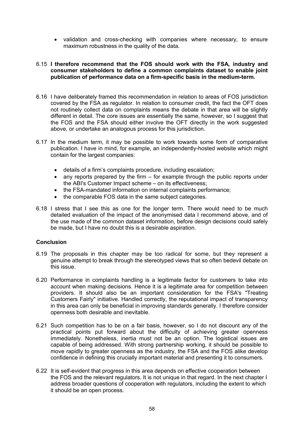· validation and cross-checking with companies where necessary, to ensure maximum robustness in the quality of the data.

### 6.15 **I therefore recommend that the FOS should work with the FSA, industry and consumer stakeholders to define a common complaints dataset to enable joint publication of performance data on a firm-specific basis in the medium-term.**

- 6.16 I have deliberately framed this recommendation in relation to areas of FOS jurisdiction covered by the FSA as regulator. In relation to consumer credit, the fact the OFT does not routinely collect data on complaints means the debate in that area will be slightly different in detail. The core issues are essentially the same, however, so I suggest that the FOS and the FSA should either involve the OFT directly in the work suggested above, or undertake an analogous process for this jurisdiction.
- 6.17 In the medium term, it may be possible to work towards some form of comparative publication. I have in mind, for example, an independently-hosted website which might contain for the largest companies:
	- · details of a firm's complaints procedure, including escalation;
	- · any reports prepared by the firm for example through the public reports under the ABI's Customer Impact scheme – on its effectiveness;
	- the FSA-mandated information on internal complaints performance;
	- · the comparable FOS data in the same subject categories.
- 6.18 I stress that I see this as one for the longer term. There would need to be much detailed evaluation of the impact of the anonymised data I recommend above, and of the use made of the common dataset information, before design decisions could safely be made, but I have no doubt this is a desirable aspiration.

## **Conclusion**

- 6.19 The proposals in this chapter may be too radical for some, but they represent a genuine attempt to break through the stereotyped views that so often bedevil debate on this issue.
- 6.20 Performance in complaints handling is a legitimate factor for customers to take into account when making decisions. Hence it is a legitimate area for competition between providers. It should also be an important consideration for the FSA's "Treating Customers Fairly" initiative. Handled correctly, the reputational impact of transparency in this area can only be beneficial in improving standards generally. I therefore consider openness both desirable and inevitable.
- 6.21 Such competition has to be on a fair basis, however, so I do not discount any of the practical points put forward about the difficulty of achieving greater openness immediately. Nonetheless, inertia must not be an option. The logistical issues are capable of being addressed. With strong partnership working, it should be possible to move rapidly to greater openness as the industry, the FSA and the FOS alike develop confidence in defining this crucially important material and presenting it to consumers.
- 6.22 It is self-evident that progress in this area depends on effective cooperation between the FOS and the relevant regulators. It is not unique in that regard. In the next chapter I address broader questions of cooperation with regulators, including the extent to which it should be an open process.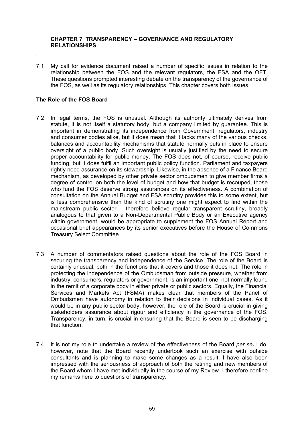### **CHAPTER 7 TRANSPARENCY – GOVERNANCE AND REGULATORY RELATIONSHIPS**

7.1 My call for evidence document raised a number of specific issues in relation to the relationship between the FOS and the relevant regulators, the FSA and the OFT. These questions prompted interesting debate on the transparency of the governance of the FOS, as well as its regulatory relationships. This chapter covers both issues.

### **The Role of the FOS Board**

- 7.2 In legal terms, the FOS is unusual. Although its authority ultimately derives from statute, it is not itself a statutory body, but a company limited by guarantee. This is important in demonstrating its independence from Government, regulators, industry and consumer bodies alike, but it does mean that it lacks many of the various checks, balances and accountability mechanisms that statute normally puts in place to ensure oversight of a public body. Such oversight is usually justified by the need to secure proper accountability for public money. The FOS does not, of course, receive public funding, but it does fulfil an important public policy function. Parliament and taxpayers rightly need assurance on its stewardship. Likewise, in the absence of a Finance Board mechanism, as developed by other private sector ombudsmen to give member firms a degree of control on both the level of budget and how that budget is recouped, those who fund the FOS deserve strong assurances on its effectiveness. A combination of consultation on the Annual Budget and FSA scrutiny provides this to some extent, but is less comprehensive than the kind of scrutiny one might expect to find within the mainstream public sector. I therefore believe regular transparent scrutiny, broadly analogous to that given to a Non-Departmental Public Body or an Executive agency within government, would be appropriate to supplement the FOS Annual Report and occasional brief appearances by its senior executives before the House of Commons Treasury Select Committee.
- 7.3 A number of commentators raised questions about the role of the FOS Board in securing the transparency and independence of the Service. The role of the Board is certainly unusual, both in the functions that it covers and those it does not. The role in protecting the independence of the Ombudsman from outside pressure, whether from industry, consumers, regulators or government, is an important one, not normally found in the remit of a corporate body in either private or public sectors. Equally, the Financial Services and Markets Act (FSMA) makes clear that members of the Panel of Ombudsmen have autonomy in relation to their decisions in individual cases. As it would be in any public sector body, however, the role of the Board is crucial in giving stakeholders assurance about rigour and efficiency in the governance of the FOS. Transparency, in turn, is crucial in ensuring that the Board is seen to be discharging that function.
- 7.4 It is not my role to undertake a review of the effectiveness of the Board *per se***.** I do, however, note that the Board recently undertook such an exercise with outside consultants and is planning to make some changes as a result. I have also been impressed with the seriousness of approach of both the retiring and new members of the Board whom I have met individually in the course of my Review. I therefore confine my remarks here to questions of transparency.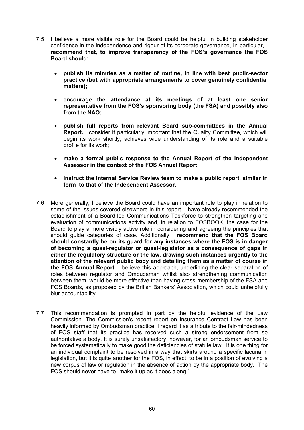- 7.5 I believe a more visible role for the Board could be helpful in building stakeholder confidence in the independence and rigour of its corporate governance, In particular, **I recommend that, to improve transparency of the FOS's governance the FOS Board should:**
	- · **publish its minutes as a matter of routine, in line with best public-sector practice (but with appropriate arrangements to cover genuinely confidential matters);**
	- · **encourage the attendance at its meetings of at least one senior representative from the FOS's sponsoring body (the FSA) and possibly also from the NAO;**
	- · **publish full reports from relevant Board sub-committees in the Annual Report.** I consider it particularly important that the Quality Committee, which will begin its work shortly, achieves wide understanding of its role and a suitable profile for its work;
	- · **make a formal public response to the Annual Report of the Independent Assessor in the context of the FOS Annual Report;**
	- instruct the Internal Service Review team to make a public report, similar in **form to that of the Independent Assessor.**
- 7.6 More generally, I believe the Board could have an important role to play in relation to some of the issues covered elsewhere in this report. I have already recommended the establishment of a Board-led Communications Taskforce to strengthen targeting and evaluation of communications activity and, in relation to FOSBOOK, the case for the Board to play a more visibly active role in considering and agreeing the principles that should guide categories of case. Additionally **I recommend that the FOS Board should constantly be on its guard for any instances where the FOS is in danger of becoming a quasi-regulator or quasi-legislator as a consequence of gaps in either the regulatory structure or the law, drawing such instances urgently to the attention of the relevant public body and detailing them as a matter of course in the FOS Annual Report.** I believe this approach, underlining the clear separation of roles between regulator and Ombudsman whilst also strengthening communication between them, would be more effective than having cross-membership of the FSA and FOS Boards, as proposed by the British Bankers' Association, which could unhelpfully blur accountability.
- 7.7 This recommendation is prompted in part by the helpful evidence of the Law Commission. The Commission's recent report on Insurance Contract Law has been heavily informed by Ombudsman practice. I regard it as a tribute to the fair-mindedness of FOS staff that its practice has received such a strong endorsement from so authoritative a body. It is surely unsatisfactory, however, for an ombudsman service to be forced systematically to make good the deficiencies of statute law. It is one thing for an individual complaint to be resolved in a way that skirts around a specific lacuna in legislation, but it is quite another for the FOS, in effect, to be in a position of evolving a new corpus of law or regulation in the absence of action by the appropriate body. The FOS should never have to "make it up as it goes along."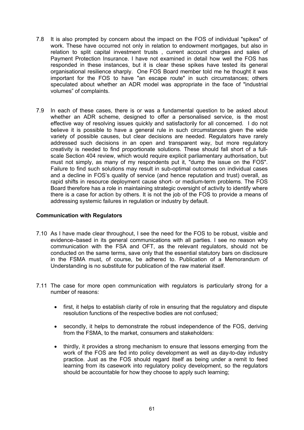- 7.8 It is also prompted by concern about the impact on the FOS of individual "spikes" of work. These have occurred not only in relation to endowment mortgages, but also in relation to split capital investment trusts , current account charges and sales of Payment Protection Insurance. I have not examined in detail how well the FOS has responded in these instances, but it is clear these spikes have tested its general organisational resilience sharply. One FOS Board member told me he thought it was important for the FOS to have "an escape route" in such circumstances; others speculated about whether an ADR model was appropriate in the face of "industrial volumes" of complaints.
- 7.9 In each of these cases, there is or was a fundamental question to be asked about whether an ADR scheme, designed to offer a personalised service, is the most effective way of resolving issues quickly and satisfactorily for all concerned. I do not believe it is possible to have a general rule in such circumstances given the wide variety of possible causes, but clear decisions are needed. Regulators have rarely addressed such decisions in an open and transparent way, but more regulatory creativity is needed to find proportionate solutions. These should fall short of a fullscale Section 404 review, which would require explicit parliamentary authorisation, but must not simply, as many of my respondents put it, "dump the issue on the FOS". Failure to find such solutions may result in sub-optimal outcomes on individual cases and a decline in FOS's quality of service (and hence reputation and trust) overall, as rapid shifts in resource deployment cause short- or medium-term problems. The FOS Board therefore has a role in maintaining strategic oversight of activity to identify where there is a case for action by others. It is not the job of the FOS to provide a means of addressing systemic failures in regulation or industry by default.

### **Communication with Regulators**

- 7.10 As I have made clear throughout, I see the need for the FOS to be robust, visible and evidence–based in its general communications with all parties. I see no reason why communication with the FSA and OFT, as the relevant regulators, should not be conducted on the same terms, save only that the essential statutory bars on disclosure in the FSMA must, of course, be adhered to. Publication of a Memorandum of Understanding is no substitute for publication of the raw material itself.
- 7.11 The case for more open communication with regulators is particularly strong for a number of reasons:
	- first, it helps to establish clarity of role in ensuring that the regulatory and dispute resolution functions of the respective bodies are not confused;
	- · secondly, it helps to demonstrate the robust independence of the FOS, deriving from the FSMA, to the market, consumers and stakeholders:
	- · thirdly, it provides a strong mechanism to ensure that lessons emerging from the work of the FOS are fed into policy development as well as day-to-day industry practice. Just as the FOS should regard itself as being under a remit to feed learning from its casework into regulatory policy development, so the regulators should be accountable for how they choose to apply such learning;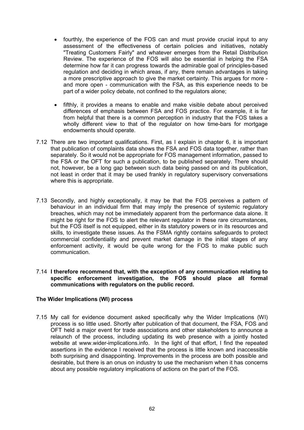- · fourthly, the experience of the FOS can and must provide crucial input to any assessment of the effectiveness of certain policies and initiatives, notably "Treating Customers Fairly" and whatever emerges from the Retail Distribution Review. The experience of the FOS will also be essential in helping the FSA determine how far it can progress towards the admirable goal of principles-based regulation and deciding in which areas, if any, there remain advantages in taking a more prescriptive approach to give the market certainty. This argues for more and more open - communication with the FSA, as this experience needs to be part of a wider policy debate, not confined to the regulators alone;
- fifthly, it provides a means to enable and make visible debate about perceived differences of emphasis between FSA and FOS practice. For example, it is far from helpful that there is a common perception in industry that the FOS takes a wholly different view to that of the regulator on how time-bars for mortgage endowments should operate.
- 7.12 There are two important qualifications. First, as I explain in chapter 6, it is important that publication of complaints data shows the FSA and FOS data together, rather than separately. So it would not be appropriate for FOS management information, passed to the FSA or the OFT for such a publication, to be published separately. There should not, however, be a long gap between such data being passed on and its publication, not least in order that it may be used frankly in regulatory supervisory conversations where this is appropriate.
- 7.13 Secondly, and highly exceptionally, it may be that the FOS perceives a pattern of behaviour in an individual firm that may imply the presence of systemic regulatory breaches, which may not be immediately apparent from the performance data alone. It might be right for the FOS to alert the relevant regulator in these rare circumstances, but the FOS itself is not equipped, either in its statutory powers or in its resources and skills, to investigate these issues. As the FSMA rightly contains safeguards to protect commercial confidentiality and prevent market damage in the initial stages of any enforcement activity, it would be quite wrong for the FOS to make public such communication.

### 7.14 **I therefore recommend that, with the exception of any communication relating to specific enforcement investigation, the FOS should place all formal communications with regulators on the public record.**

## **The Wider Implications (WI) process**

7.15 My call for evidence document asked specifically why the Wider Implications (WI) process is so little used. Shortly after publication of that document, the FSA, FOS and OFT held a major event for trade associations and other stakeholders to announce a relaunch of the process, including updating its web presence with a jointly hosted website at <www.wider-implications.info.> In the light of that effort, I find the repeated assertions in the evidence I received that the process is little known and inaccessible both surprising and disappointing. Improvements in the process are both possible and desirable, but there is an onus on industry to use the mechanism when it has concerns about any possible regulatory implications of actions on the part of the FOS.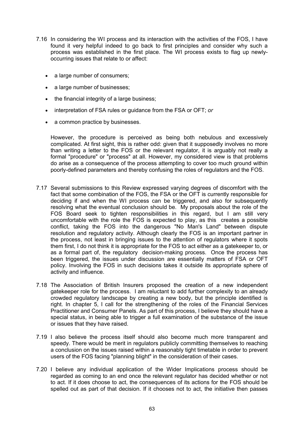- 7.16 In considering the WI process and its interaction with the activities of the FOS, I have found it very helpful indeed to go back to first principles and consider why such a process was established in the first place. The WI process exists to flag up newlyoccurring issues that relate to or affect:
	- a large number of consumers:
	- a large number of businesses;
	- · the financial integrity of a large business;
	- · interpretation of FSA rules or guidance from the FSA or OFT; *or*
	- · a common practice by businesses.

However, the procedure is perceived as being both nebulous and excessively complicated. At first sight, this is rather odd: given that it supposedly involves no more than writing a letter to the FOS or the relevant regulator, it is arguably not really a formal "procedure" or "process" at all. However, my considered view is that problems do arise as a consequence of the process attempting to cover too much ground within poorly-defined parameters and thereby confusing the roles of regulators and the FOS.

- 7.17 Several submissions to this Review expressed varying degrees of discomfort with the fact that some combination of the FOS, the FSA or the OFT is currently responsible for deciding if and when the WI process can be triggered, and also for subsequently resolving what the eventual conclusion should be. My proposals about the role of the FOS Board seek to tighten responsibilities in this regard, but I am still very uncomfortable with the role the FOS is expected to play, as this creates a possible conflict, taking the FOS into the dangerous "No Man's Land" between dispute resolution and regulatory activity. Although clearly the FOS is an important partner in the process, not least in bringing issues to the attention of regulators where it spots them first, I do not think it is appropriate for the FOS to act either as a gatekeeper to, or as a formal part of, the regulatory decision-making process. Once the process has been triggered, the issues under discussion are essentially matters of FSA or OFT policy. Involving the FOS in such decisions takes it outside its appropriate sphere of activity and influence.
- 7.18 The Association of British Insurers proposed the creation of a new independent gatekeeper role for the process. I am reluctant to add further complexity to an already crowded regulatory landscape by creating a new body, but the principle identified is right. In chapter 5, I call for the strengthening of the roles of the Financial Services Practitioner and Consumer Panels. As part of this process, I believe they should have a special status, in being able to trigger a full examination of the substance of the issue or issues that they have raised.
- 7.19 I also believe the process itself should also become much more transparent and speedy. There would be merit in regulators publicly committing themselves to reaching a conclusion on the issues raised within a reasonably tight timetable in order to prevent users of the FOS facing "planning blight" in the consideration of their cases.
- 7.20 I believe any individual application of the Wider Implications process should be regarded as coming to an end once the relevant regulator has decided whether or not to act. If it does choose to act, the consequences of its actions for the FOS should be spelled out as part of that decision. If it chooses not to act, the initiative then passes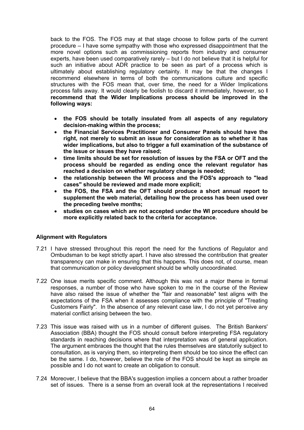back to the FOS. The FOS may at that stage choose to follow parts of the current procedure – I have some sympathy with those who expressed disappointment that the more novel options such as commissioning reports from industry and consumer experts, have been used comparatively rarely – but I do not believe that it is helpful for such an initiative about ADR practice to be seen as part of a process which is ultimately about establishing regulatory certainty. It may be that the changes I recommend elsewhere in terms of both the communications culture and specific structures with the FOS mean that, over time, the need for a Wider Implications process falls away. It would clearly be foolish to discard it immediately, however, so **I recommend that the Wider Implications process should be improved in the following ways:**

- · **the FOS should be totally insulated from all aspects of any regulatory decision-making within the process;**
- · **the Financial Services Practitioner and Consumer Panels should have the right, not merely to submit an issue for consideration as to whether it has wider implications, but also to trigger a full examination of the substance of the issue or issues they have raised;**
- · **time limits should be set for resolution of issues by the FSA or OFT and the process should be regarded as ending once the relevant regulator has reached a decision on whether regulatory change is needed;**
- · **the relationship between the WI process and the FOS's approach to "lead cases" should be reviewed and made more explicit;**
- · **the FOS, the FSA and the OFT should produce a short annual report to supplement the web material, detailing how the process has been used over the preceding twelve months;**
- · **studies on cases which are not accepted under the WI procedure should be more explicitly related back to the criteria for acceptance.**

## **Alignment with Regulators**

- 7.21 I have stressed throughout this report the need for the functions of Regulator and Ombudsman to be kept strictly apart. I have also stressed the contribution that greater transparency can make in ensuring that this happens. This does not, of course, mean that communication or policy development should be wholly uncoordinated.
- 7.22 One issue merits specific comment. Although this was not a major theme in formal responses, a number of those who have spoken to me in the course of the Review have also raised the issue of whether the "fair and reasonable" test aligns with the expectations of the FSA when it assesses compliance with the principle of "Treating Customers Fairly". In the absence of any relevant case law, I do not yet perceive any material conflict arising between the two.
- 7.23 This issue was raised with us in a number of different guises. The British Bankers' Association (BBA) thought the FOS should consult before interpreting FSA regulatory standards in reaching decisions where that interpretation was of general application. The argument embraces the thought that the rules themselves are statutorily subject to consultation, as is varying them, so interpreting them should be too since the effect can be the same. I do, however, believe the role of the FOS should be kept as simple as possible and I do not want to create an obligation to consult.
- 7.24 Moreover, I believe that the BBA's suggestion implies a concern about a rather broader set of issues. There is a sense from an overall look at the representations I received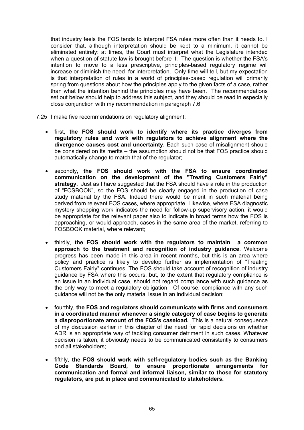that industry feels the FOS tends to interpret FSA rules more often than it needs to. I consider that, although interpretation should be kept to a minimum, it cannot be eliminated entirely: at times, the Court must interpret what the Legislature intended when a question of statute law is brought before it. The question is whether the FSA's intention to move to a less prescriptive, principles-based regulatory regime will increase or diminish the need for interpretation. Only time will tell, but my expectation is that interpretation of rules in a world of principles-based regulation will primarily spring from questions about how the principles apply to the given facts of a case, rather than what the intention behind the principles may have been. The recommendations set out below should help to address this subject, and they should be read in especially close conjunction with my recommendation in paragraph 7.6.

- 7.25 I make five recommendations on regulatory alignment:
	- · first, **the FOS should work to identify where its practice diverges from regulatory rules and work with regulators to achieve alignment where the divergence causes cost and uncertainty.** Each such case of misalignment should be considered on its merits – the assumption should not be that FOS practice should automatically change to match that of the regulator;
	- · secondly, **the FOS should work with the FSA to ensure coordinated communication on the development of the "Treating Customers Fairly" strategy.** Just as I have suggested that the FSA should have a role in the production of "FOSBOOK", so the FOS should be clearly engaged in the production of case study material by the FSA. Indeed there would be merit in such material being derived from relevant FOS cases, where appropriate. Likewise, where FSA diagnostic mystery shopping work indicates the need for follow-up supervisory action, it would be appropriate for the relevant paper also to indicate in broad terms how the FOS is approaching, or would approach, cases in the same area of the market, referring to FOSBOOK material, where relevant;
	- · thirdly, **the FOS should work with the regulators to maintain a common approach to the treatment and recognition of industry guidance**. Welcome progress has been made in this area in recent months, but this is an area where policy and practice is likely to develop further as implementation of "Treating Customers Fairly" continues. The FOS should take account of recognition of industry guidance by FSA where this occurs, but, to the extent that regulatory compliance is an issue in an individual case, should not regard compliance with such guidance as the only way to meet a regulatory obligation. Of course, compliance with any such guidance will not be the only material issue in an individual decision;
	- · fourthly, **the FOS and regulators should communicate with firms and consumers in a coordinated manner whenever a single category of case begins to generate a disproportionate amount of the FOS's caseload.** This is a natural consequence of my discussion earlier in this chapter of the need for rapid decisions on whether ADR is an appropriate way of tackling consumer detriment in such cases. Whatever decision is taken, it obviously needs to be communicated consistently to consumers and all stakeholders;
	- · fifthly, **the FOS should work with self-regulatory bodies such as the Banking Code Standards Board, to ensure proportionate arrangements for communication and formal and informal liaison, similar to those for statutory regulators, are put in place and communicated to stakeholders.**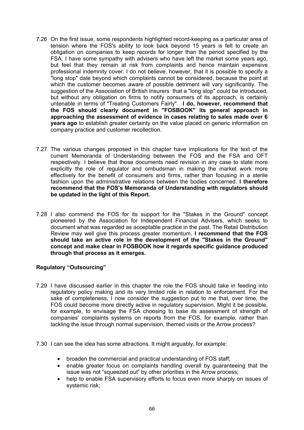- 7.26 On the first issue, some respondents highlighted record-keeping as a particular area of tension where the FOS's ability to look back beyond 15 years is felt to create an obligation on companies to keep records for longer than the period specified by the FSA. I have some sympathy with advisers who have left the market some years ago, but feel that they remain at risk from complaints and hence maintain expensive professional indemnity cover. I do not believe, however, that it is possible to specify a "long stop" date beyond which complaints cannot be considered, because the point at which the customer becomes aware of possible detriment will vary significantly. The suggestion of the Association of British Insurers that a "long stop" could be introduced, but without any obligation on firms to notify consumers of its approach, is certainly untenable in terms of "Treating Customers Fairly". **I do, however, recommend that the FOS should clearly document in "FOSBOOK" its general approach in approaching the assessment of evidence in cases relating to sales made over 6 years ago** to establish greater certainty on the value placed on generic information on company practice and customer recollection.
- 7.27 The various changes proposed in this chapter have implications for the text of the current Memoranda of Understanding between the FOS and the FSA and OFT respectively. I believe that those documents need revision in any case to state more explicitly the role of regulator and ombudsman in making the market work more effectively for the benefit of consumers and firms, rather than focusing in a sterile fashion upon the administrative relations between the bodies concerned. **I therefore recommend that the FOS's Memoranda of Understanding with regulators should be updated in the light of this Report.**
- 7.28 I also commend the FOS for its support for the "Stakes in the Ground" concept pioneered by the Association for Independent Financial Advisers, which seeks to document what was regarded as acceptable practice in the past. The Retail Distribution Review may well give this process greater momentum. **I recommend that the FOS should take an active role in the development of the "Stakes in the Ground" concept and make clear in FOSBOOK how it regards specific guidance produced through that process as it emerges.**

## **Regulatory "Outsourcing"**

- 7.29 I have discussed earlier in this chapter the role the FOS should take in feeding into regulatory policy making and its very limited role in relation to enforcement. For the sake of completeness, I now consider the suggestion put to me that, over time, the FOS could become more directly active in regulatory supervision. Might it be possible, for example, to envisage the FSA choosing to base its assessment of strength of companies' complaints systems on reports from the FOS, for example, rather than tackling the issue through normal supervision, themed visits or the Arrow process?
- 7.30 I can see the idea has some attractions. It might arguably, for example:
	- · broaden the commercial and practical understanding of FOS staff;
	- · enable greater focus on complaints handling overall by guaranteeing that the issue was not "squeezed out" by other priorities in the Arrow process;
	- help to enable FSA supervisory efforts to focus even more sharply on issues of systemic risk;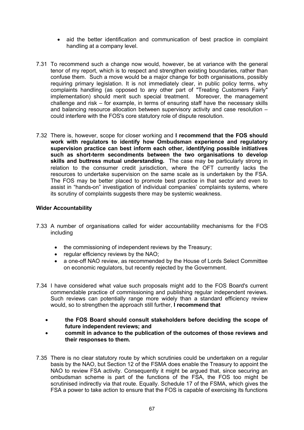- aid the better identification and communication of best practice in complaint handling at a company level.
- 7.31 To recommend such a change now would, however, be at variance with the general tenor of my report, which is to respect and strengthen existing boundaries, rather than confuse them. Such a move would be a major change for both organisations, possibly requiring primary legislation. It is not immediately clear, in public policy terms, why complaints handling (as opposed to any other part of "Treating Customers Fairly" implementation) should merit such special treatment. Moreover, the management challenge and risk – for example, in terms of ensuring staff have the necessary skills and balancing resource allocation between supervisory activity and case resolution – could interfere with the FOS's core statutory role of dispute resolution.
- 7.32 There is, however, scope for closer working and **I recommend that the FOS should work with regulators to identify how Ombudsman experience and regulatory supervision practice can best inform each other, identifying possible initiatives such as short-term secondments between the two organisations to develop skills and buttress mutual understanding.** The case may be particularly strong in relation to the consumer credit jurisdiction, where the OFT currently lacks the resources to undertake supervision on the same scale as is undertaken by the FSA. The FOS may be better placed to promote best practice in that sector and even to assist in "hands-on" investigation of individual companies' complaints systems, where its scrutiny of complaints suggests there may be systemic weakness.

## **Wider Accountability**

- 7.33 A number of organisations called for wider accountability mechanisms for the FOS including
	- the commissioning of independent reviews by the Treasury;
	- · regular efficiency reviews by the NAO;
	- · a one-off NAO review, as recommended by the House of Lords Select Committee on economic regulators, but recently rejected by the Government.
- 7.34 I have considered what value such proposals might add to the FOS Board's current commendable practice of commissioning and publishing regular independent reviews. Such reviews can potentially range more widely than a standard efficiency review would, so to strengthen the approach still further, **I recommend that** 
	- · **the FOS Board should consult stakeholders before deciding the scope of future independent reviews; and**
	- · **commit in advance to the publication of the outcomes of those reviews and their responses to them.**
- 7.35 There is no clear statutory route by which scrutinies could be undertaken on a regular basis by the NAO, but Section 12 of the FSMA does enable the Treasury to appoint the NAO to review FSA activity. Consequently it might be argued that, since securing an ombudsman scheme is part of the functions of the FSA, the FOS too might be scrutinised indirectly via that route. Equally. Schedule 17 of the FSMA, which gives the FSA a power to take action to ensure that the FOS is capable of exercising its functions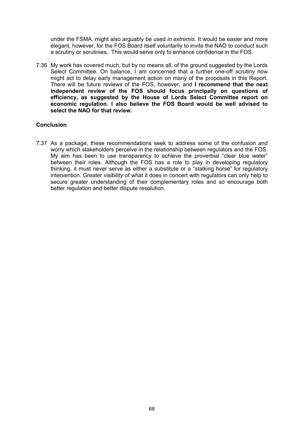under the FSMA, might also arguably be used *in extremis*. It would be easier and more elegant, however, for the FOS Board itself voluntarily to invite the NAO to conduct such a scrutiny or scrutinies. This would serve only to enhance confidence in the FOS.

7.36 My work has covered much, but by no means all, of the ground suggested by the Lords Select Committee. On balance, I am concerned that a further one-off scrutiny now might act to delay early management action on many of the proposals in this Report. There will be future reviews of the FOS, however, and **I recommend that the next independent review of the FOS should focus principally on questions of efficiency, as suggested by the House of Lords Select Committee report on economic regulation. I also believe the FOS Board would be well advised to select the NAO for that review.**

## **Conclusion**

7.37 As a package, these recommendations seek to address some of the confusion and worry which stakeholders perceive in the relationship between regulators and the FOS. My aim has been to use transparency to achieve the proverbial "clear blue water" between their roles. Although the FOS has a role to play in developing regulatory thinking, it must never serve as either a substitute or a "stalking horse" for regulatory intervention. Greater visibility of what it does in concert with regulators can only help to secure greater understanding of their complementary roles and so encourage both better regulation and better dispute resolution.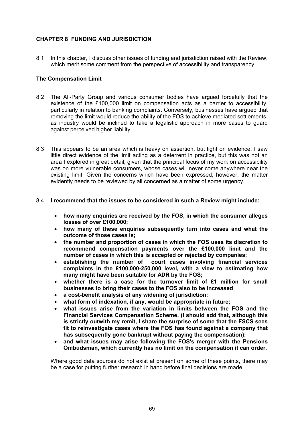# **CHAPTER 8 FUNDING AND JURISDICTION**

8.1 In this chapter, I discuss other issues of funding and jurisdiction raised with the Review, which merit some comment from the perspective of accessibility and transparency.

### **The Compensation Limit**

- 8.2 The All-Party Group and various consumer bodies have argued forcefully that the existence of the £100,000 limit on compensation acts as a barrier to accessibility, particularly in relation to banking complaints. Conversely, businesses have argued that removing the limit would reduce the ability of the FOS to achieve mediated settlements, as industry would be inclined to take a legalistic approach in more cases to guard against perceived higher liability.
- 8.3 This appears to be an area which is heavy on assertion, but light on evidence. I saw little direct evidence of the limit acting as a deterrent in practice, but this was not an area I explored in great detail, given that the principal focus of my work on accessibility was on more vulnerable consumers, whose cases will never come anywhere near the existing limit. Given the concerns which have been expressed, however, the matter evidently needs to be reviewed by all concerned as a matter of some urgency.

#### 8.4 **I recommend that the issues to be considered in such a Review might include:**

- · **how many enquiries are received by the FOS, in which the consumer alleges losses of over £100,000;**
- · **how many of these enquiries subsequently turn into cases and what the outcome of those cases is;**
- · **the number and proportion of cases in which the FOS uses its discretion to recommend compensation payments over the £100,000 limit and the number of cases in which this is accepted or rejected by companies;**
- · **establishing the number of court cases involving financial services complaints in the £100,000-250,000 level, with a view to estimating how many might have been suitable for ADR by the FOS;**
- · **whether there is a case for the turnover limit of £1 million for small businesses to bring their cases to the FOS also to be increased**
- · **a cost-benefit analysis of any widening of jurisdiction;**
- · **what form of indexation, if any, would be appropriate in future;**
- · **what issues arise from the variation in limits between the FOS and the Financial Services Compensation Scheme. (I should add that, although this is strictly outwith my remit, I share the surprise of some that the FSCS sees fit to reinvestigate cases where the FOS has found against a company that has subsequently gone bankrupt without paying the compensation);**
- · **and what issues may arise following the FOS's merger with the Pensions Ombudsman, which currently has no limit on the compensation it can order.**

Where good data sources do not exist at present on some of these points, there may be a case for putting further research in hand before final decisions are made.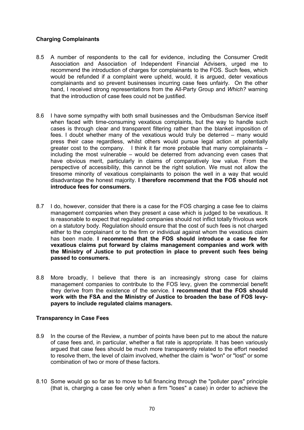# **Charging Complainants**

- 8.5 A number of respondents to the call for evidence, including the Consumer Credit Association and Association of Independent Financial Advisers, urged me to recommend the introduction of charges for complainants to the FOS. Such fees, which would be refunded if a complaint were upheld, would, it is argued, deter vexatious complainants and so prevent businesses incurring case fees unfairly. On the other hand, I received strong representations from the All-Party Group and *Which?* warning that the introduction of case fees could not be justified.
- 8.6 I have some sympathy with both small businesses and the Ombudsman Service itself when faced with time-consuming vexatious complaints, but the way to handle such cases is through clear and transparent filtering rather than the blanket imposition of fees. I doubt whether many of the vexatious would truly be deterred – many would press their case regardless, whilst others would pursue legal action at potentially greater cost to the company. I think it far more probable that many complainants  $$ including the most vulnerable – would be deterred from advancing even cases that have obvious merit, particularly in claims of comparatively low value. From the perspective of accessibility, this cannot be the right solution. We must not allow the tiresome minority of vexatious complainants to poison the well in a way that would disadvantage the honest majority. **I therefore recommend that the FOS should not introduce fees for consumers.**
- 8.7 I do, however, consider that there is a case for the FOS charging a case fee to claims management companies when they present a case which is judged to be vexatious. It is reasonable to expect that regulated companies should not inflict totally frivolous work on a statutory body. Regulation should ensure that the cost of such fees is not charged either to the complainant or to the firm or individual against whom the vexatious claim has been made. **I recommend that the FOS should introduce a case fee for vexatious claims put forward by claims management companies and work with the Ministry of Justice to put protection in place to prevent such fees being passed to consumers.**
- 8.8 More broadly, I believe that there is an increasingly strong case for claims management companies to contribute to the FOS levy, given the commercial benefit they derive from the existence of the service. **I recommend that the FOS should work with the FSA and the Ministry of Justice to broaden the base of FOS levypayers to include regulated claims managers.**

## **Transparency in Case Fees**

- 8.9 In the course of the Review, a number of points have been put to me about the nature of case fees and, in particular, whether a flat rate is appropriate. It has been variously argued that case fees should be much more transparently related to the effort needed to resolve them, the level of claim involved, whether the claim is "won" or "lost" or some combination of two or more of these factors.
- 8.10 Some would go so far as to move to full financing through the "polluter pays" principle (that is, charging a case fee only when a firm "loses" a case) in order to achieve the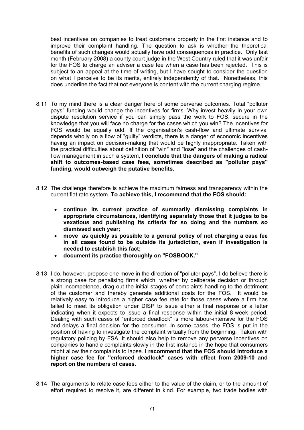best incentives on companies to treat customers properly in the first instance and to improve their complaint handling. The question to ask is whether the theoretical benefits of such changes would actually have odd consequences in practice. Only last month (February 2008) a county court judge in the West Country ruled that it was unfair for the FOS to charge an adviser a case fee when a case has been rejected. This is subject to an appeal at the time of writing, but I have sought to consider the question on what I perceive to be its merits, entirely independently of that. Nonetheless, this does underline the fact that not everyone is content with the current charging regime.

- 8.11 To my mind there is a clear danger here of some perverse outcomes. Total "polluter pays" funding would change the incentives for firms. Why invest heavily in your own dispute resolution service if you can simply pass the work to FOS, secure in the knowledge that you will face no charge for the cases which you win? The incentives for FOS would be equally odd. If the organisation's cash-flow and ultimate survival depends wholly on a flow of "guilty" verdicts, there is a danger of economic incentives having an impact on decision-making that would be highly inappropriate. Taken with the practical difficulties about definition of "win" and "lose" and the challenges of cashflow management in such a system, **I conclude that the dangers of making a radical shift to outcomes-based case fees, sometimes described as "polluter pays" funding, would outweigh the putative benefits.**
- 8.12 The challenge therefore is achieve the maximum fairness and transparency within the current flat rate system. **To achieve this, I recommend that the FOS should:**
	- · **continue its current practice of summarily dismissing complaints in appropriate circumstances, identifying separately those that it judges to be vexatious and publishing its criteria for so doing and the numbers so dismissed each year;**
	- · **move as quickly as possible to a general policy of not charging a case fee in all cases found to be outside its jurisdiction, even if investigation is needed to establish this fact;**
	- · **document its practice thoroughly on "FOSBOOK."**
- 8.13 I do, however, propose one move in the direction of "polluter pays". I do believe there is a strong case for penalising firms which, whether by deliberate decision or through plain incompetence, drag out the initial stages of complaints handling to the detriment of the customer and thereby generate additional costs for the FOS. It would be relatively easy to introduce a higher case fee rate for those cases where a firm has failed to meet its obligation under DISP to issue either a final response or a letter indicating when it expects to issue a final response within the initial 8-week period. Dealing with such cases of "enforced deadlock" is more labour-intensive for the FOS and delays a final decision for the consumer. In some cases, the FOS is put in the position of having to investigate the complaint virtually from the beginning. Taken with regulatory policing by FSA, it should also help to remove any perverse incentives on companies to handle complaints slowly in the first instance in the hope that consumers might allow their complaints to lapse. **I recommend that the FOS should introduce a higher case fee for "enforced deadlock" cases with effect from 2009-10 and report on the numbers of cases.**
- 8.14 The arguments to relate case fees either to the value of the claim, or to the amount of effort required to resolve it, are different in kind. For example, two trade bodies with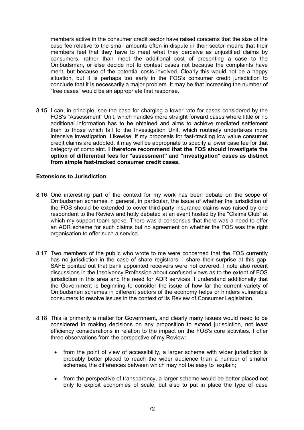members active in the consumer credit sector have raised concerns that the size of the case fee relative to the small amounts often in dispute in their sector means that their members feel that they have to meet what they perceive as unjustified claims by consumers, rather than meet the additional cost of presenting a case to the Ombudsman, or else decide not to contest cases not because the complaints have merit, but because of the potential costs involved. Clearly this would not be a happy situation, but it is perhaps too early in the FOS's consumer credit jurisdiction to conclude that it is necessarily a major problem. It may be that increasing the number of "free cases" would be an appropriate first response.

8.15 I can, in principle, see the case for charging a lower rate for cases considered by the FOS's "Assessment" Unit, which handles more straight forward cases where little or no additional information has to be obtained and aims to achieve mediated settlement than to those which fall to the Investigation Unit, which routinely undertakes more intensive investigation. Likewise, if my proposals for fast-tracking low value consumer credit claims are adopted, it may well be appropriate to specify a lower case fee for that category of complaint. **I therefore recommend that the FOS should investigate the option of differential fees for "assessment" and "investigation" cases as distinct from simple fast-tracked consumer credit cases.**

## **Extensions to Jurisdiction**

- 8.16 One interesting part of the context for my work has been debate on the scope of Ombudsmen schemes in general, in particular, the issue of whether the jurisdiction of the FOS should be extended to cover third-party insurance claims was raised by one respondent to the Review and hotly debated at an event hosted by the "Claims Club" at which my support team spoke. There was a consensus that there was a need to offer an ADR scheme for such claims but no agreement on whether the FOS was the right organisation to offer such a service.
- 8.17 Two members of the public who wrote to me were concerned that the FOS currently has no jurisdiction in the case of share registrars. I share their surprise at this gap. SAFE pointed out that bank appointed receivers were not covered. I note also recent discussions in the Insolvency Profession about confused views as to the extent of FOS jurisdiction in this area and the need for ADR services. I understand additionally that the Government is beginning to consider the issue of how far the current variety of Ombudsmen schemes in different sectors of the economy helps or hinders vulnerable consumers to resolve issues in the context of its Review of Consumer Legislation.
- 8.18 This is primarily a matter for Government, and clearly many issues would need to be considered in making decisions on any proposition to extend jurisdiction, not least efficiency considerations in relation to the impact on the FOS's core activities. I offer three observations from the perspective of my Review:
	- · from the point of view of accessibility, a larger scheme with wider jurisdiction is probably better placed to reach the wider audience than a number of smaller schemes, the differences between which may not be easy to explain;
	- · from the perspective of transparency, a larger scheme would be better placed not only to exploit economies of scale, but also to put in place the type of case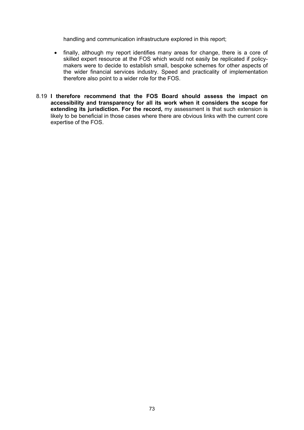handling and communication infrastructure explored in this report;

- · finally, although my report identifies many areas for change, there is a core of skilled expert resource at the FOS which would not easily be replicated if policymakers were to decide to establish small, bespoke schemes for other aspects of the wider financial services industry. Speed and practicality of implementation therefore also point to a wider role for the FOS.
- 8.19 **I therefore recommend that the FOS Board should assess the impact on accessibility and transparency for all its work when it considers the scope for extending its jurisdiction. For the record,** my assessment is that such extension is likely to be beneficial in those cases where there are obvious links with the current core expertise of the FOS.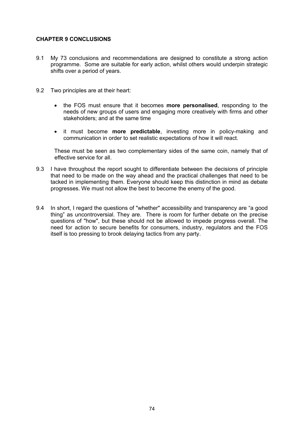## **CHAPTER 9 CONCLUSIONS**

- 9.1 My 73 conclusions and recommendations are designed to constitute a strong action programme. Some are suitable for early action, whilst others would underpin strategic shifts over a period of years.
- 9.2 Two principles are at their heart:
	- · the FOS must ensure that it becomes **more personalised**, responding to the needs of new groups of users and engaging more creatively with firms and other stakeholders; and at the same time
	- · it must become **more predictable**, investing more in policy-making and communication in order to set realistic expectations of how it will react.

These must be seen as two complementary sides of the same coin, namely that of effective service for all.

- 9.3 I have throughout the report sought to differentiate between the decisions of principle that need to be made on the way ahead and the practical challenges that need to be tacked in implementing them. Everyone should keep this distinction in mind as debate progresses. We must not allow the best to become the enemy of the good.
- 9.4 In short, I regard the questions of "whether" accessibility and transparency are "a good thing" as uncontroversial. They are. There is room for further debate on the precise questions of "how", but these should not be allowed to impede progress overall. The need for action to secure benefits for consumers, industry, regulators and the FOS itself is too pressing to brook delaying tactics from any party.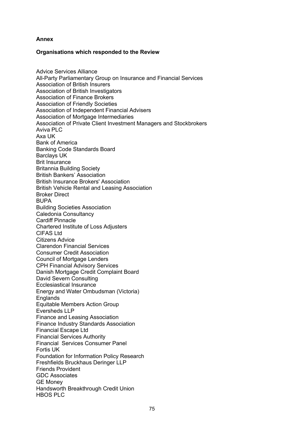## **Annex**

## **Organisations which responded to the Review**

Advice Services Alliance All-Party Parliamentary Group on Insurance and Financial Services Association of British Insurers Association of British Investigators Association of Finance Brokers Association of Friendly Societies Association of Independent Financial Advisers Association of Mortgage Intermediaries Association of Private Client Investment Managers and Stockbrokers Aviva PLC Axa UK Bank of America Banking Code Standards Board Barclays UK Brit Insurance Britannia Building Society British Bankers' Association British Insurance Brokers' Association British Vehicle Rental and Leasing Association Broker Direct BUPA Building Societies Association Caledonia Consultancy Cardiff Pinnacle Chartered Institute of Loss Adjusters CIFAS Ltd Citizens Advice Clarendon Financial Services Consumer Credit Association Council of Mortgage Lenders CPH Financial Advisory Services Danish Mortgage Credit Complaint Board David Severn Consulting Ecclesiastical Insurance Energy and Water Ombudsman (Victoria) Englands Equitable Members Action Group Eversheds LLP Finance and Leasing Association Finance Industry Standards Association Financial Escape Ltd Financial Services Authority Financial Services Consumer Panel Fortis UK Foundation for Information Policy Research Freshfields Bruckhaus Deringer LLP Friends Provident GDC Associates GE Money Handsworth Breakthrough Credit Union HBOS PLC